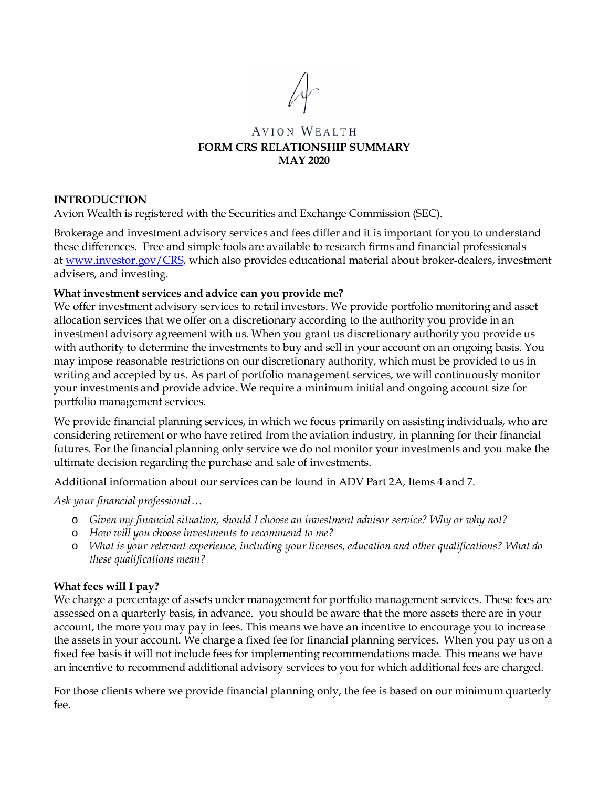#### **AVION WEALTH FORM CRS RELATIONSHIP SUMMARY MAY 2020**

#### **INTRODUCTION**

Avion Wealth is registered with the Securities and Exchange Commission (SEC).

Brokerage and investment advisory services and fees differ and it is important for you to understand these differences. Free and simple tools are available to research firms and financial professionals at [www.investor.gov/CRS,](http://www.investor.gov/CRS) which also provides educational material about broker-dealers, investment advisers, and investing.

#### **What investment services and advice can you provide me?**

We offer investment advisory services to retail investors. We provide portfolio monitoring and asset allocation services that we offer on a discretionary according to the authority you provide in an investment advisory agreement with us. When you grant us discretionary authority you provide us with authority to determine the investments to buy and sell in your account on an ongoing basis. You may impose reasonable restrictions on our discretionary authority, which must be provided to us in writing and accepted by us. As part of portfolio management services, we will continuously monitor your investments and provide advice. We require a minimum initial and ongoing account size for portfolio management services.

We provide financial planning services, in which we focus primarily on assisting individuals, who are considering retirement or who have retired from the aviation industry, in planning for their financial futures. For the financial planning only service we do not monitor your investments and you make the ultimate decision regarding the purchase and sale of investments.

Additional information about our services can be found in ADV Part 2A, Items 4 and 7.

*Ask your financial professional…*

- o *Given my financial situation, should I choose an investment advisor service? Why or why not?*
- o *How will you choose investments to recommend to me?*
- o *What is your relevant experience, including your licenses, education and other qualifications? What do these qualifications mean?*

#### **What fees will I pay?**

We charge a percentage of assets under management for portfolio management services. These fees are assessed on a quarterly basis, in advance. you should be aware that the more assets there are in your account, the more you may pay in fees. This means we have an incentive to encourage you to increase the assets in your account. We charge a fixed fee for financial planning services. When you pay us on a fixed fee basis it will not include fees for implementing recommendations made. This means we have an incentive to recommend additional advisory services to you for which additional fees are charged.

For those clients where we provide financial planning only, the fee is based on our minimum quarterly fee.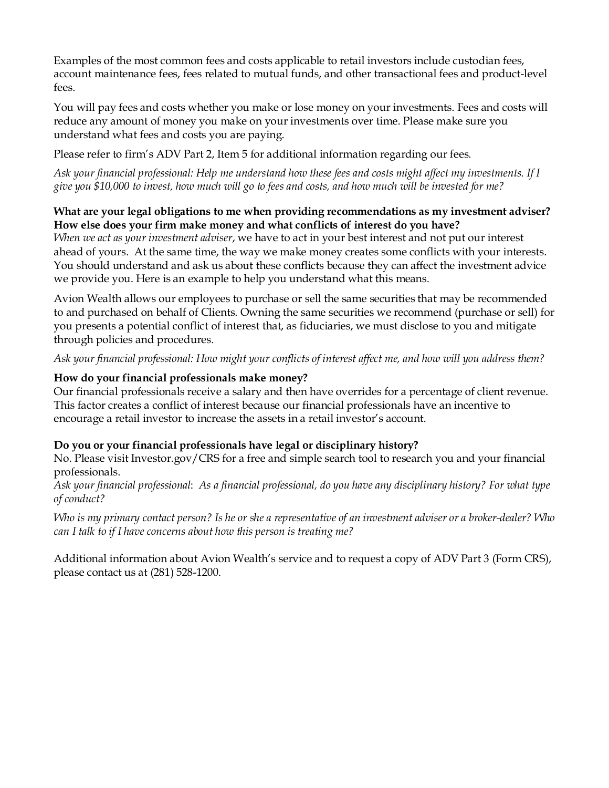Examples of the most common fees and costs applicable to retail investors include custodian fees, account maintenance fees, fees related to mutual funds, and other transactional fees and product-level fees.

You will pay fees and costs whether you make or lose money on your investments. Fees and costs will reduce any amount of money you make on your investments over time. Please make sure you understand what fees and costs you are paying.

Please refer to firm's ADV Part 2, Item 5 for additional information regarding our fees.

*Ask your financial professional: Help me understand how these fees and costs might affect my investments. If I give you \$10,000 to invest, how much will go to fees and costs, and how much will be invested for me?*

#### **What are your legal obligations to me when providing recommendations as my investment adviser? How else does your firm make money and what conflicts of interest do you have?**

*When we act as your investment adviser*, we have to act in your best interest and not put our interest ahead of yours. At the same time, the way we make money creates some conflicts with your interests. You should understand and ask us about these conflicts because they can affect the investment advice we provide you. Here is an example to help you understand what this means.

Avion Wealth allows our employees to purchase or sell the same securities that may be recommended to and purchased on behalf of Clients. Owning the same securities we recommend (purchase or sell) for you presents a potential conflict of interest that, as fiduciaries, we must disclose to you and mitigate through policies and procedures.

*Ask your financial professional: How might your conflicts of interest affect me, and how will you address them?*

#### **How do your financial professionals make money?**

Our financial professionals receive a salary and then have overrides for a percentage of client revenue. This factor creates a conflict of interest because our financial professionals have an incentive to encourage a retail investor to increase the assets in a retail investor's account.

#### **Do you or your financial professionals have legal or disciplinary history?**

No. Please visit Investor.gov/CRS for a free and simple search tool to research you and your financial professionals.

*Ask your financial professional*: *As a financial professional, do you have any disciplinary history? For what type of conduct?*

*Who is my primary contact person? Is he or she a representative of an investment adviser or a broker-dealer? Who can I talk to if I have concerns about how this person is treating me?*

Additional information about Avion Wealth's service and to request a copy of ADV Part 3 (Form CRS), please contact us at (281) 528-1200.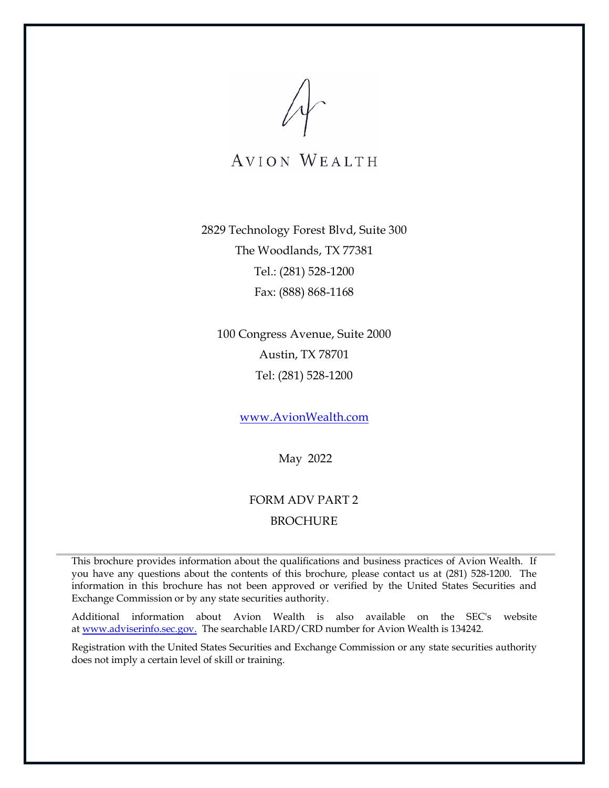2829 Technology Forest Blvd, Suite 300 The Woodlands, TX 77381 Tel.: (281) 528-1200 Fax: (888) 868-1168

100 Congress Avenue, Suite 2000 Austin, TX 78701 Tel: (281) 528-1200

[www.AvionWealth.com](http://www.avionwealth.com/)

May 2022

### FORM ADV PART 2 BROCHURE

This brochure provides information about the qualifications and business practices of Avion Wealth. If you have any questions about the contents of this brochure, please contact us at (281) 528-1200. The information in this brochure has not been approved or verified by the United States Securities and Exchange Commission or by any state securities authority.

Additional information about Avion Wealth is also available on the SEC's website at [www.adviserinfo.sec.gov.](http://www.adviserinfo.sec.gov/) The searchable IARD/CRD number for Avion Wealth is 134242.

Registration with the United States Securities and Exchange Commission or any state securities authority does not imply a certain level of skill or training.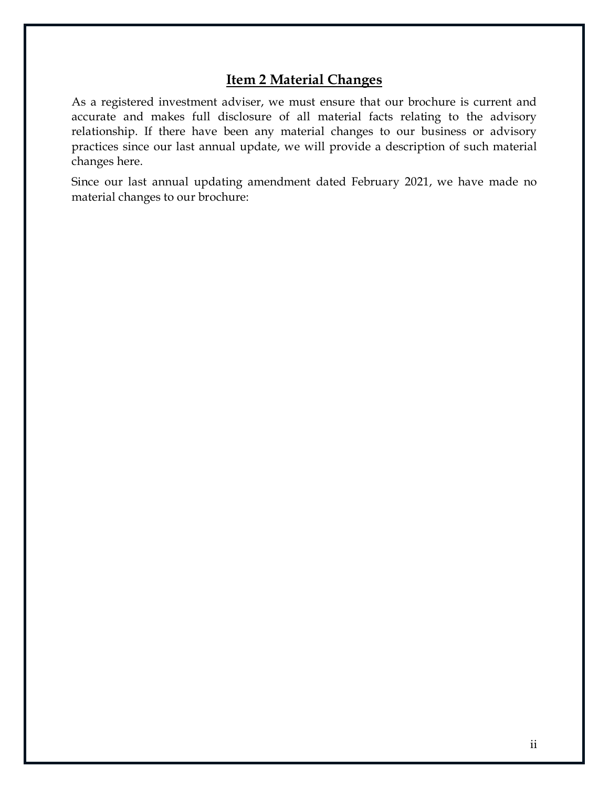# **Item 2 Material Changes**

<span id="page-3-0"></span>As a registered investment adviser, we must ensure that our brochure is current and accurate and makes full disclosure of all material facts relating to the advisory relationship. If there have been any material changes to our business or advisory practices since our last annual update, we will provide a description of such material changes here.

Since our last annual updating amendment dated February 2021, we have made no material changes to our brochure: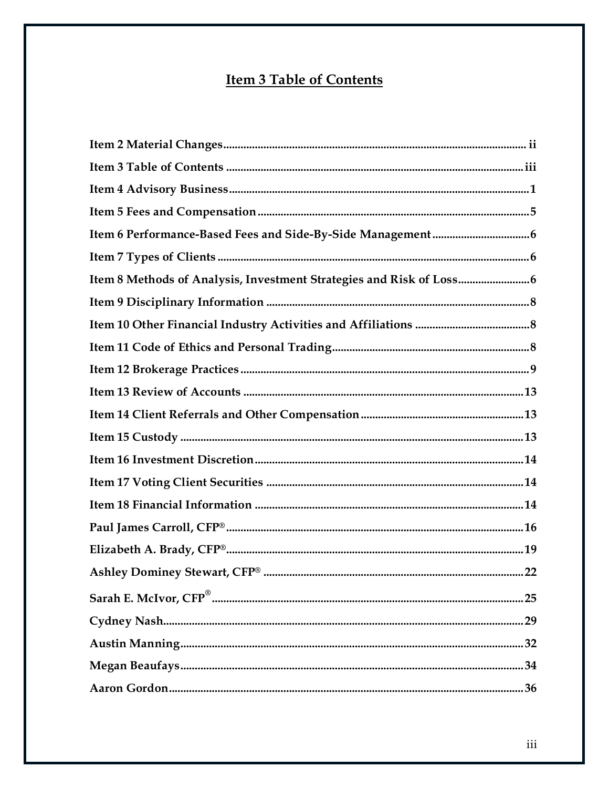# **Item 3 Table of Contents**

<span id="page-4-0"></span>

| Item 8 Methods of Analysis, Investment Strategies and Risk of Loss |
|--------------------------------------------------------------------|
|                                                                    |
|                                                                    |
|                                                                    |
|                                                                    |
|                                                                    |
|                                                                    |
|                                                                    |
|                                                                    |
|                                                                    |
|                                                                    |
|                                                                    |
|                                                                    |
|                                                                    |
| 25                                                                 |
| 29                                                                 |
|                                                                    |
|                                                                    |
|                                                                    |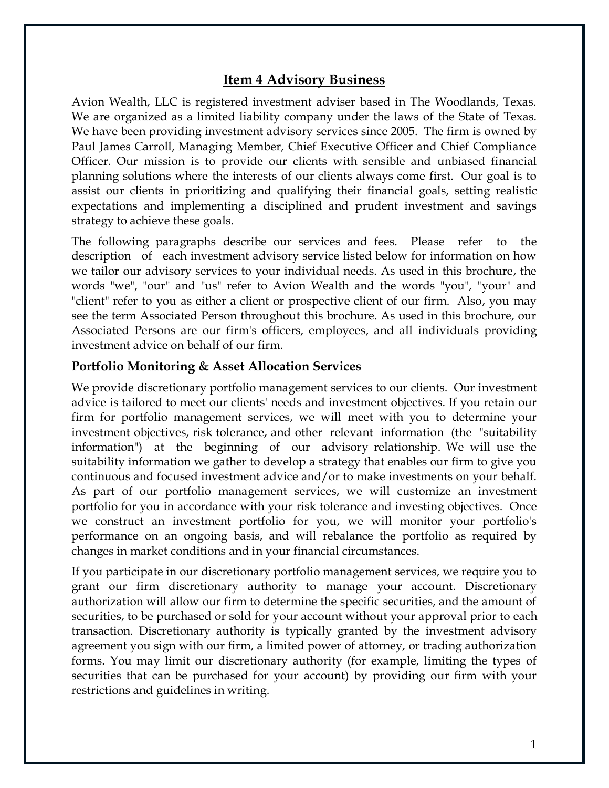### **Item 4 Advisory Business**

<span id="page-6-0"></span>Avion Wealth, LLC is registered investment adviser based in The Woodlands, Texas. We are organized as a limited liability company under the laws of the State of Texas. We have been providing investment advisory services since 2005. The firm is owned by Paul James Carroll, Managing Member, Chief Executive Officer and Chief Compliance Officer. Our mission is to provide our clients with sensible and unbiased financial planning solutions where the interests of our clients always come first. Our goal is to assist our clients in prioritizing and qualifying their financial goals, setting realistic expectations and implementing a disciplined and prudent investment and savings strategy to achieve these goals.

The following paragraphs describe our services and fees. Please refer to the description of each investment advisory service listed below for information on how we tailor our advisory services to your individual needs. As used in this brochure, the words "we", "our" and "us" refer to Avion Wealth and the words "you", "your" and "client" refer to you as either a client or prospective client of our firm. Also, you may see the term Associated Person throughout this brochure. As used in this brochure, our Associated Persons are our firm's officers, employees, and all individuals providing investment advice on behalf of our firm.

#### **Portfolio Monitoring & Asset Allocation Services**

We provide discretionary portfolio management services to our clients. Our investment advice is tailored to meet our clients' needs and investment objectives. If you retain our firm for portfolio management services, we will meet with you to determine your investment objectives, risk tolerance, and other relevant information (the "suitability information") at the beginning of our advisory relationship. We will use the suitability information we gather to develop a strategy that enables our firm to give you continuous and focused investment advice and/or to make investments on your behalf. As part of our portfolio management services, we will customize an investment portfolio for you in accordance with your risk tolerance and investing objectives. Once we construct an investment portfolio for you, we will monitor your portfolio's performance on an ongoing basis, and will rebalance the portfolio as required by changes in market conditions and in your financial circumstances.

If you participate in our discretionary portfolio management services, we require you to grant our firm discretionary authority to manage your account. Discretionary authorization will allow our firm to determine the specific securities, and the amount of securities, to be purchased or sold for your account without your approval prior to each transaction. Discretionary authority is typically granted by the investment advisory agreement you sign with our firm, a limited power of attorney, or trading authorization forms. You may limit our discretionary authority (for example, limiting the types of securities that can be purchased for your account) by providing our firm with your restrictions and guidelines in writing.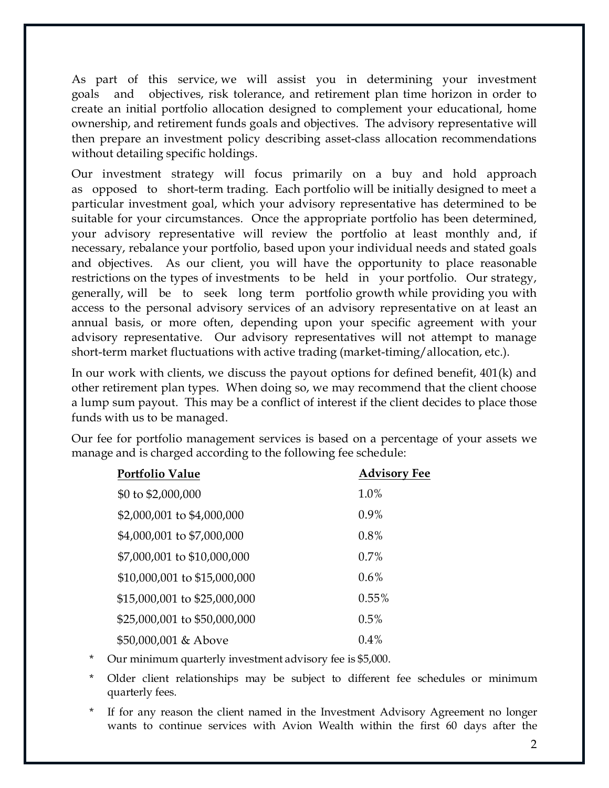As part of this service, we will assist you in determining your investment goals and objectives, risk tolerance, and retirement plan time horizon in order to create an initial portfolio allocation designed to complement your educational, home ownership, and retirement funds goals and objectives. The advisory representative will then prepare an investment policy describing asset-class allocation recommendations without detailing specific holdings.

Our investment strategy will focus primarily on a buy and hold approach as opposed to short-term trading. Each portfolio will be initially designed to meet a particular investment goal, which your advisory representative has determined to be suitable for your circumstances. Once the appropriate portfolio has been determined, your advisory representative will review the portfolio at least monthly and, if necessary, rebalance your portfolio, based upon your individual needs and stated goals and objectives. As our client, you will have the opportunity to place reasonable restrictions on the types of investments to be held in your portfolio. Our strategy, generally, will be to seek long term portfolio growth while providing you with access to the personal advisory services of an advisory representative on at least an annual basis, or more often, depending upon your specific agreement with your advisory representative. Our advisory representatives will not attempt to manage short-term market fluctuations with active trading (market-timing/allocation, etc.).

In our work with clients, we discuss the payout options for defined benefit, 401(k) and other retirement plan types. When doing so, we may recommend that the client choose a lump sum payout. This may be a conflict of interest if the client decides to place those funds with us to be managed.

Our fee for portfolio management services is based on a percentage of your assets we manage and is charged according to the following fee schedule:

| <b>Portfolio Value</b>       | <b>Advisory Fee</b> |
|------------------------------|---------------------|
| \$0 to \$2,000,000           | 1.0%                |
| \$2,000,001 to \$4,000,000   | $0.9\%$             |
| \$4,000,001 to \$7,000,000   | 0.8%                |
| \$7,000,001 to \$10,000,000  | $0.7\%$             |
| \$10,000,001 to \$15,000,000 | $0.6\%$             |
| \$15,000,001 to \$25,000,000 | 0.55%               |
| \$25,000,001 to \$50,000,000 | 0.5%                |
| \$50,000,001 & Above         | 0.4%                |

- \* Our minimum quarterly investment advisory fee is \$5,000.
- Older client relationships may be subject to different fee schedules or minimum quarterly fees.
- If for any reason the client named in the Investment Advisory Agreement no longer wants to continue services with Avion Wealth within the first 60 days after the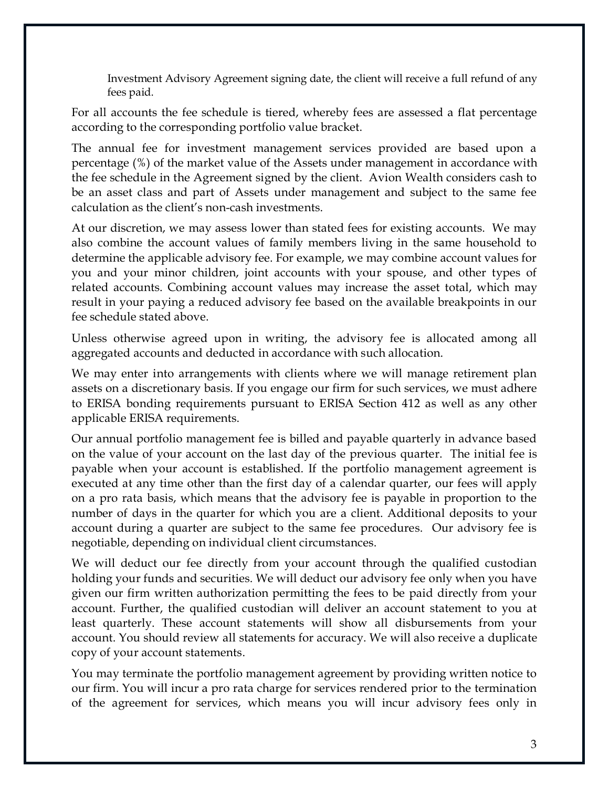Investment Advisory Agreement signing date, the client will receive a full refund of any fees paid.

For all accounts the fee schedule is tiered, whereby fees are assessed a flat percentage according to the corresponding portfolio value bracket.

The annual fee for investment management services provided are based upon a percentage (%) of the market value of the Assets under management in accordance with the fee schedule in the Agreement signed by the client. Avion Wealth considers cash to be an asset class and part of Assets under management and subject to the same fee calculation as the client's non-cash investments.

At our discretion, we may assess lower than stated fees for existing accounts. We may also combine the account values of family members living in the same household to determine the applicable advisory fee. For example, we may combine account values for you and your minor children, joint accounts with your spouse, and other types of related accounts. Combining account values may increase the asset total, which may result in your paying a reduced advisory fee based on the available breakpoints in our fee schedule stated above.

Unless otherwise agreed upon in writing, the advisory fee is allocated among all aggregated accounts and deducted in accordance with such allocation.

We may enter into arrangements with clients where we will manage retirement plan assets on a discretionary basis. If you engage our firm for such services, we must adhere to ERISA bonding requirements pursuant to ERISA Section 412 as well as any other applicable ERISA requirements.

Our annual portfolio management fee is billed and payable quarterly in advance based on the value of your account on the last day of the previous quarter. The initial fee is payable when your account is established. If the portfolio management agreement is executed at any time other than the first day of a calendar quarter, our fees will apply on a pro rata basis, which means that the advisory fee is payable in proportion to the number of days in the quarter for which you are a client. Additional deposits to your account during a quarter are subject to the same fee procedures. Our advisory fee is negotiable, depending on individual client circumstances.

We will deduct our fee directly from your account through the qualified custodian holding your funds and securities. We will deduct our advisory fee only when you have given our firm written authorization permitting the fees to be paid directly from your account. Further, the qualified custodian will deliver an account statement to you at least quarterly. These account statements will show all disbursements from your account. You should review all statements for accuracy. We will also receive a duplicate copy of your account statements.

You may terminate the portfolio management agreement by providing written notice to our firm. You will incur a pro rata charge for services rendered prior to the termination of the agreement for services, which means you will incur advisory fees only in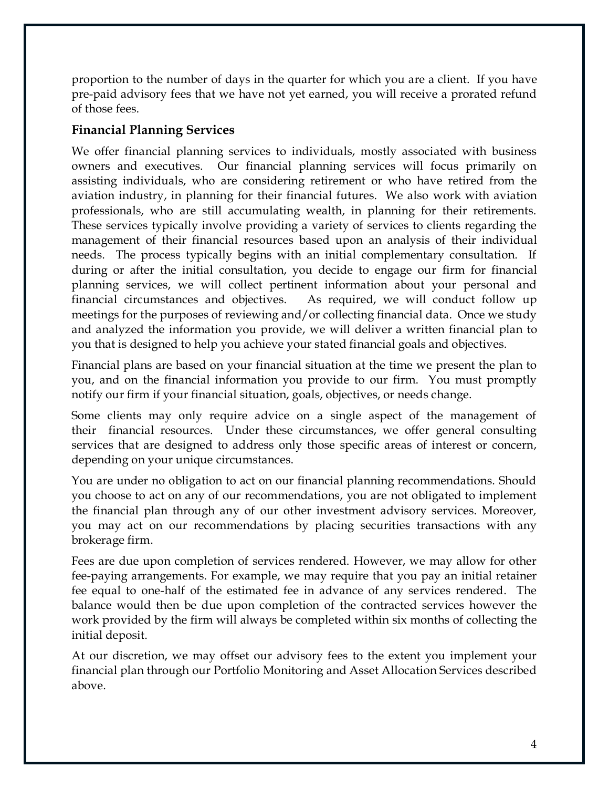proportion to the number of days in the quarter for which you are a client. If you have pre-paid advisory fees that we have not yet earned, you will receive a prorated refund of those fees.

### **Financial Planning Services**

We offer financial planning services to individuals, mostly associated with business owners and executives. Our financial planning services will focus primarily on assisting individuals, who are considering retirement or who have retired from the aviation industry, in planning for their financial futures. We also work with aviation professionals, who are still accumulating wealth, in planning for their retirements. These services typically involve providing a variety of services to clients regarding the management of their financial resources based upon an analysis of their individual needs. The process typically begins with an initial complementary consultation. If during or after the initial consultation, you decide to engage our firm for financial planning services, we will collect pertinent information about your personal and financial circumstances and objectives. As required, we will conduct follow up meetings for the purposes of reviewing and/or collecting financial data. Once we study and analyzed the information you provide, we will deliver a written financial plan to you that is designed to help you achieve your stated financial goals and objectives.

Financial plans are based on your financial situation at the time we present the plan to you, and on the financial information you provide to our firm. You must promptly notify our firm if your financial situation, goals, objectives, or needs change.

Some clients may only require advice on a single aspect of the management of their financial resources. Under these circumstances, we offer general consulting services that are designed to address only those specific areas of interest or concern, depending on your unique circumstances.

You are under no obligation to act on our financial planning recommendations. Should you choose to act on any of our recommendations, you are not obligated to implement the financial plan through any of our other investment advisory services. Moreover, you may act on our recommendations by placing securities transactions with any brokerage firm.

Fees are due upon completion of services rendered. However, we may allow for other fee-paying arrangements. For example, we may require that you pay an initial retainer fee equal to one-half of the estimated fee in advance of any services rendered. The balance would then be due upon completion of the contracted services however the work provided by the firm will always be completed within six months of collecting the initial deposit.

At our discretion, we may offset our advisory fees to the extent you implement your financial plan through our Portfolio Monitoring and Asset Allocation Services described above.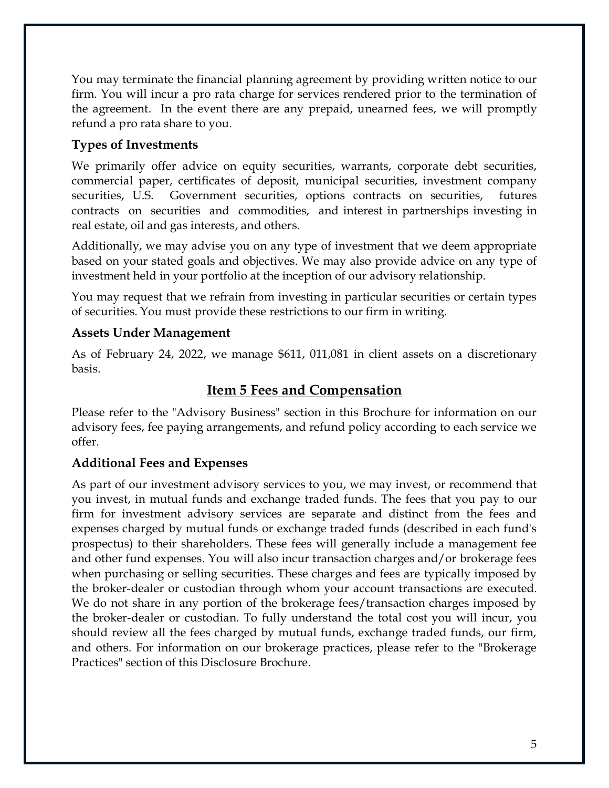You may terminate the financial planning agreement by providing written notice to our firm. You will incur a pro rata charge for services rendered prior to the termination of the agreement. In the event there are any prepaid, unearned fees, we will promptly refund a pro rata share to you.

# **Types of Investments**

We primarily offer advice on equity securities, warrants, corporate debt securities, commercial paper, certificates of deposit, municipal securities, investment company securities, U.S. Government securities, options contracts on securities, futures contracts on securities and commodities, and interest in partnerships investing in real estate, oil and gas interests, and others.

Additionally, we may advise you on any type of investment that we deem appropriate based on your stated goals and objectives. We may also provide advice on any type of investment held in your portfolio at the inception of our advisory relationship.

You may request that we refrain from investing in particular securities or certain types of securities. You must provide these restrictions to our firm in writing.

# **Assets Under Management**

As of February 24, 2022, we manage \$611, 011,081 in client assets on a discretionary basis.

# **Item 5 Fees and Compensation**

<span id="page-10-0"></span>Please refer to the "Advisory Business" section in this Brochure for information on our advisory fees, fee paying arrangements, and refund policy according to each service we offer.

### **Additional Fees and Expenses**

As part of our investment advisory services to you, we may invest, or recommend that you invest, in mutual funds and exchange traded funds. The fees that you pay to our firm for investment advisory services are separate and distinct from the fees and expenses charged by mutual funds or exchange traded funds (described in each fund's prospectus) to their shareholders. These fees will generally include a management fee and other fund expenses. You will also incur transaction charges and/or brokerage fees when purchasing or selling securities. These charges and fees are typically imposed by the broker-dealer or custodian through whom your account transactions are executed. We do not share in any portion of the brokerage fees/transaction charges imposed by the broker-dealer or custodian. To fully understand the total cost you will incur, you should review all the fees charged by mutual funds, exchange traded funds, our firm, and others. For information on our brokerage practices, please refer to the "Brokerage Practices" section of this Disclosure Brochure.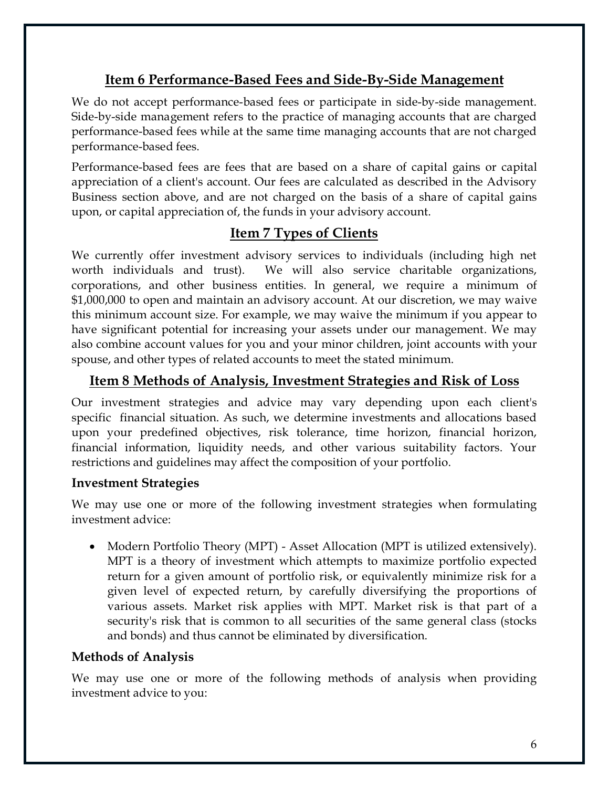# **Item 6 Performance-Based Fees and Side-By-Side Management**

<span id="page-11-0"></span>We do not accept performance-based fees or participate in side-by-side management. Side-by-side management refers to the practice of managing accounts that are charged performance-based fees while at the same time managing accounts that are not charged performance-based fees.

Performance-based fees are fees that are based on a share of capital gains or capital appreciation of a client's account. Our fees are calculated as described in the Advisory Business section above, and are not charged on the basis of a share of capital gains upon, or capital appreciation of, the funds in your advisory account.

## **Item 7 Types of Clients**

<span id="page-11-1"></span>We currently offer investment advisory services to individuals (including high net worth individuals and trust). We will also service charitable organizations, corporations, and other business entities. In general, we require a minimum of \$1,000,000 to open and maintain an advisory account. At our discretion, we may waive this minimum account size. For example, we may waive the minimum if you appear to have significant potential for increasing your assets under our management. We may also combine account values for you and your minor children, joint accounts with your spouse, and other types of related accounts to meet the stated minimum.

# <span id="page-11-2"></span>**Item 8 Methods of Analysis, Investment Strategies and Risk of Loss**

Our investment strategies and advice may vary depending upon each client's specific financial situation. As such, we determine investments and allocations based upon your predefined objectives, risk tolerance, time horizon, financial horizon, financial information, liquidity needs, and other various suitability factors. Your restrictions and guidelines may affect the composition of your portfolio.

### **Investment Strategies**

We may use one or more of the following investment strategies when formulating investment advice:

• Modern Portfolio Theory (MPT) - Asset Allocation (MPT is utilized extensively). MPT is a theory of investment which attempts to maximize portfolio expected return for a given amount of portfolio risk, or equivalently minimize risk for a given level of expected return, by carefully diversifying the proportions of various assets. Market risk applies with MPT. Market risk is that part of a security's risk that is common to all securities of the same general class (stocks and bonds) and thus cannot be eliminated by diversification.

### **Methods of Analysis**

We may use one or more of the following methods of analysis when providing investment advice to you: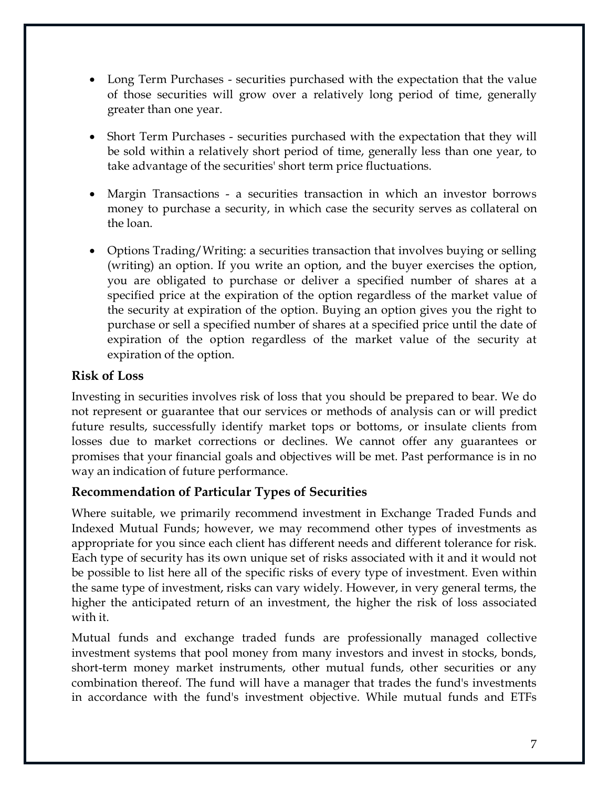- Long Term Purchases securities purchased with the expectation that the value of those securities will grow over a relatively long period of time, generally greater than one year.
- Short Term Purchases securities purchased with the expectation that they will be sold within a relatively short period of time, generally less than one year, to take advantage of the securities' short term price fluctuations.
- Margin Transactions a securities transaction in which an investor borrows money to purchase a security, in which case the security serves as collateral on the loan.
- Options Trading/Writing: a securities transaction that involves buying or selling (writing) an option. If you write an option, and the buyer exercises the option, you are obligated to purchase or deliver a specified number of shares at a specified price at the expiration of the option regardless of the market value of the security at expiration of the option. Buying an option gives you the right to purchase or sell a specified number of shares at a specified price until the date of expiration of the option regardless of the market value of the security at expiration of the option.

## **Risk of Loss**

Investing in securities involves risk of loss that you should be prepared to bear. We do not represent or guarantee that our services or methods of analysis can or will predict future results, successfully identify market tops or bottoms, or insulate clients from losses due to market corrections or declines. We cannot offer any guarantees or promises that your financial goals and objectives will be met. Past performance is in no way an indication of future performance.

### **Recommendation of Particular Types of Securities**

Where suitable, we primarily recommend investment in Exchange Traded Funds and Indexed Mutual Funds; however, we may recommend other types of investments as appropriate for you since each client has different needs and different tolerance for risk. Each type of security has its own unique set of risks associated with it and it would not be possible to list here all of the specific risks of every type of investment. Even within the same type of investment, risks can vary widely. However, in very general terms, the higher the anticipated return of an investment, the higher the risk of loss associated with it.

Mutual funds and exchange traded funds are professionally managed collective investment systems that pool money from many investors and invest in stocks, bonds, short-term money market instruments, other mutual funds, other securities or any combination thereof. The fund will have a manager that trades the fund's investments in accordance with the fund's investment objective. While mutual funds and ETFs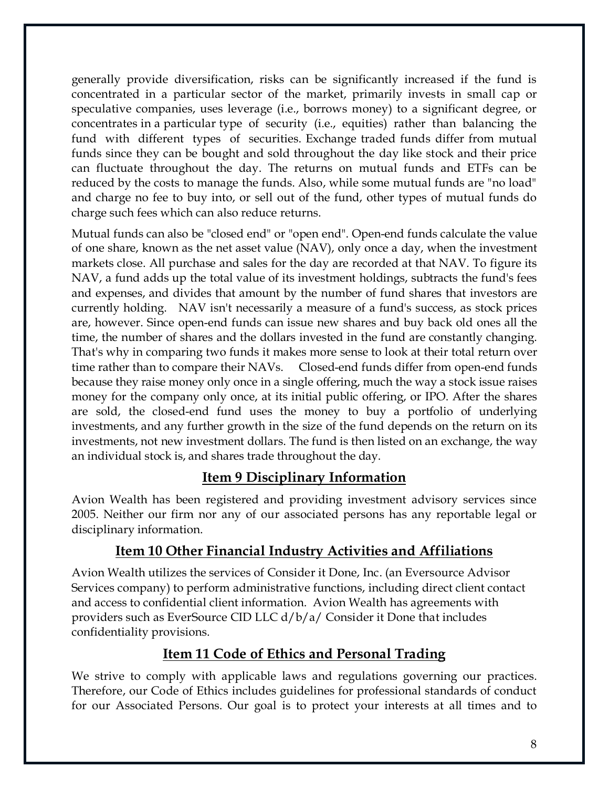generally provide diversification, risks can be significantly increased if the fund is concentrated in a particular sector of the market, primarily invests in small cap or speculative companies, uses leverage (i.e., borrows money) to a significant degree, or concentrates in a particular type of security (i.e., equities) rather than balancing the fund with different types of securities. Exchange traded funds differ from mutual funds since they can be bought and sold throughout the day like stock and their price can fluctuate throughout the day. The returns on mutual funds and ETFs can be reduced by the costs to manage the funds. Also, while some mutual funds are "no load" and charge no fee to buy into, or sell out of the fund, other types of mutual funds do charge such fees which can also reduce returns.

Mutual funds can also be "closed end" or "open end". Open-end funds calculate the value of one share, known as the net asset value (NAV), only once a day, when the investment markets close. All purchase and sales for the day are recorded at that NAV. To figure its NAV, a fund adds up the total value of its investment holdings, subtracts the fund's fees and expenses, and divides that amount by the number of fund shares that investors are currently holding. NAV isn't necessarily a measure of a fund's success, as stock prices are, however. Since open-end funds can issue new shares and buy back old ones all the time, the number of shares and the dollars invested in the fund are constantly changing. That's why in comparing two funds it makes more sense to look at their total return over time rather than to compare their NAVs. Closed-end funds differ from open-end funds because they raise money only once in a single offering, much the way a stock issue raises money for the company only once, at its initial public offering, or IPO. After the shares are sold, the closed-end fund uses the money to buy a portfolio of underlying investments, and any further growth in the size of the fund depends on the return on its investments, not new investment dollars. The fund is then listed on an exchange, the way an individual stock is, and shares trade throughout the day.

# **Item 9 Disciplinary Information**

<span id="page-13-0"></span>Avion Wealth has been registered and providing investment advisory services since 2005. Neither our firm nor any of our associated persons has any reportable legal or disciplinary information.

# **Item 10 Other Financial Industry Activities and Affiliations**

<span id="page-13-1"></span>Avion Wealth utilizes the services of Consider it Done, Inc. (an Eversource Advisor Services company) to perform administrative functions, including direct client contact and access to confidential client information. Avion Wealth has agreements with providers such as EverSource CID LLC d/b/a/ Consider it Done that includes confidentiality provisions.

# **Item 11 Code of Ethics and Personal Trading**

<span id="page-13-2"></span>We strive to comply with applicable laws and regulations governing our practices. Therefore, our Code of Ethics includes guidelines for professional standards of conduct for our Associated Persons. Our goal is to protect your interests at all times and to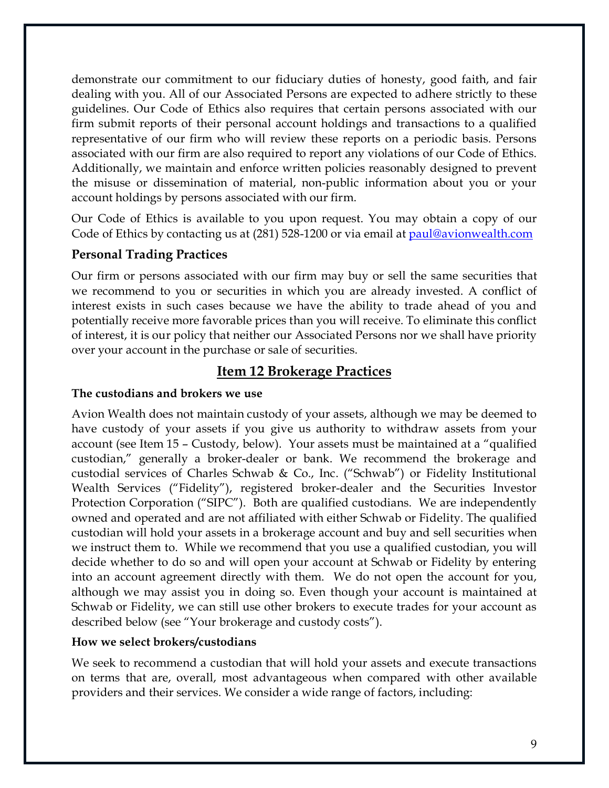demonstrate our commitment to our fiduciary duties of honesty, good faith, and fair dealing with you. All of our Associated Persons are expected to adhere strictly to these guidelines. Our Code of Ethics also requires that certain persons associated with our firm submit reports of their personal account holdings and transactions to a qualified representative of our firm who will review these reports on a periodic basis. Persons associated with our firm are also required to report any violations of our Code of Ethics. Additionally, we maintain and enforce written policies reasonably designed to prevent the misuse or dissemination of material, non-public information about you or your account holdings by persons associated with our firm.

Our Code of Ethics is available to you upon request. You may obtain a copy of our Code of Ethics by contacting us at (281) 528-1200 or via email at paul@avionwealt[h.c](mailto:Paul@EWealthMgmt.com)om

### **Personal Trading Practices**

Our firm or persons associated with our firm may buy or sell the same securities that we recommend to you or securities in which you are already invested. A conflict of interest exists in such cases because we have the ability to trade ahead of you and potentially receive more favorable prices than you will receive. To eliminate this conflict of interest, it is our policy that neither our Associated Persons nor we shall have priority over your account in the purchase or sale of securities.

# **Item 12 Brokerage Practices**

#### <span id="page-14-0"></span>**The custodians and brokers we use**

Avion Wealth does not maintain custody of your assets, although we may be deemed to have custody of your assets if you give us authority to withdraw assets from your account (see Item 15 – Custody, below). Your assets must be maintained at a "qualified custodian," generally a broker-dealer or bank. We recommend the brokerage and custodial services of Charles Schwab & Co., Inc. ("Schwab") or Fidelity Institutional Wealth Services ("Fidelity"), registered broker-dealer and the Securities Investor Protection Corporation ("SIPC"). Both are qualified custodians. We are independently owned and operated and are not affiliated with either Schwab or Fidelity. The qualified custodian will hold your assets in a brokerage account and buy and sell securities when we instruct them to. While we recommend that you use a qualified custodian, you will decide whether to do so and will open your account at Schwab or Fidelity by entering into an account agreement directly with them. We do not open the account for you, although we may assist you in doing so. Even though your account is maintained at Schwab or Fidelity, we can still use other brokers to execute trades for your account as described below (see "Your brokerage and custody costs").

#### **How we select brokers/custodians**

We seek to recommend a custodian that will hold your assets and execute transactions on terms that are, overall, most advantageous when compared with other available providers and their services. We consider a wide range of factors, including: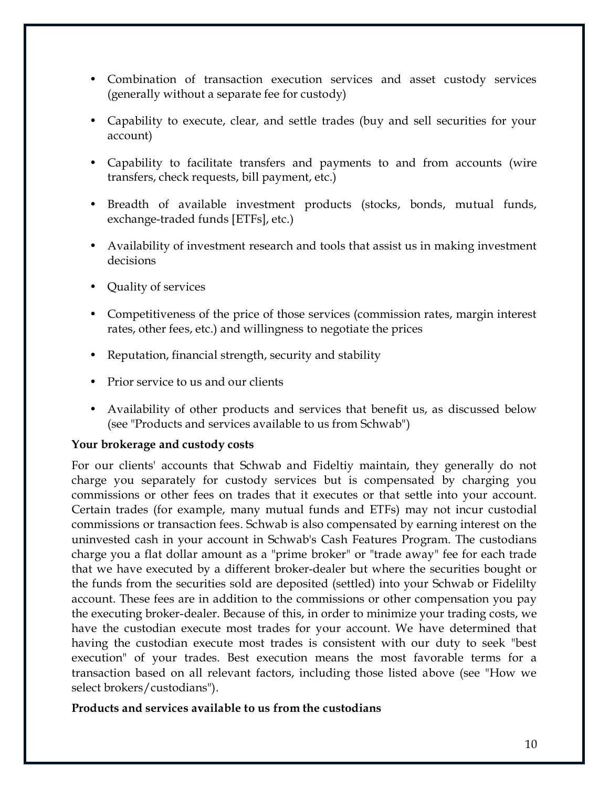- Combination of transaction execution services and asset custody services (generally without a separate fee for custody)
- Capability to execute, clear, and settle trades (buy and sell securities for your account)
- Capability to facilitate transfers and payments to and from accounts (wire transfers, check requests, bill payment, etc.)
- Breadth of available investment products (stocks, bonds, mutual funds, exchange-traded funds [ETFs], etc.)
- Availability of investment research and tools that assist us in making investment decisions
- Quality of services
- Competitiveness of the price of those services (commission rates, margin interest rates, other fees, etc.) and willingness to negotiate the prices
- Reputation, financial strength, security and stability
- Prior service to us and our clients
- Availability of other products and services that benefit us, as discussed below (see "Products and services available to us from Schwab")

#### **Your brokerage and custody costs**

For our clients' accounts that Schwab and Fideltiy maintain, they generally do not charge you separately for custody services but is compensated by charging you commissions or other fees on trades that it executes or that settle into your account. Certain trades (for example, many mutual funds and ETFs) may not incur custodial commissions or transaction fees. Schwab is also compensated by earning interest on the uninvested cash in your account in Schwab's Cash Features Program. The custodians charge you a flat dollar amount as a "prime broker" or "trade away" fee for each trade that we have executed by a different broker-dealer but where the securities bought or the funds from the securities sold are deposited (settled) into your Schwab or Fidelilty account. These fees are in addition to the commissions or other compensation you pay the executing broker-dealer. Because of this, in order to minimize your trading costs, we have the custodian execute most trades for your account. We have determined that having the custodian execute most trades is consistent with our duty to seek "best execution" of your trades. Best execution means the most favorable terms for a transaction based on all relevant factors, including those listed above (see "How we select brokers/custodians").

#### **Products and services available to us from the custodians**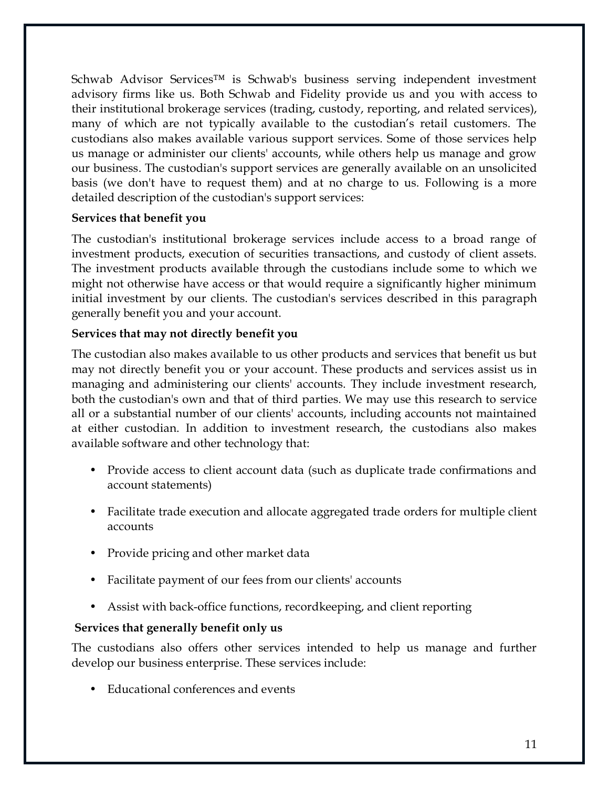Schwab Advisor Services™ is Schwab's business serving independent investment advisory firms like us. Both Schwab and Fidelity provide us and you with access to their institutional brokerage services (trading, custody, reporting, and related services), many of which are not typically available to the custodian's retail customers. The custodians also makes available various support services. Some of those services help us manage or administer our clients' accounts, while others help us manage and grow our business. The custodian's support services are generally available on an unsolicited basis (we don't have to request them) and at no charge to us. Following is a more detailed description of the custodian's support services:

#### **Services that benefit you**

The custodian's institutional brokerage services include access to a broad range of investment products, execution of securities transactions, and custody of client assets. The investment products available through the custodians include some to which we might not otherwise have access or that would require a significantly higher minimum initial investment by our clients. The custodian's services described in this paragraph generally benefit you and your account.

#### **Services that may not directly benefit you**

The custodian also makes available to us other products and services that benefit us but may not directly benefit you or your account. These products and services assist us in managing and administering our clients' accounts. They include investment research, both the custodian's own and that of third parties. We may use this research to service all or a substantial number of our clients' accounts, including accounts not maintained at either custodian. In addition to investment research, the custodians also makes available software and other technology that:

- Provide access to client account data (such as duplicate trade confirmations and account statements)
- Facilitate trade execution and allocate aggregated trade orders for multiple client accounts
- Provide pricing and other market data
- Facilitate payment of our fees from our clients' accounts
- Assist with back-office functions, recordkeeping, and client reporting

#### **Services that generally benefit only us**

The custodians also offers other services intended to help us manage and further develop our business enterprise. These services include:

• Educational conferences and events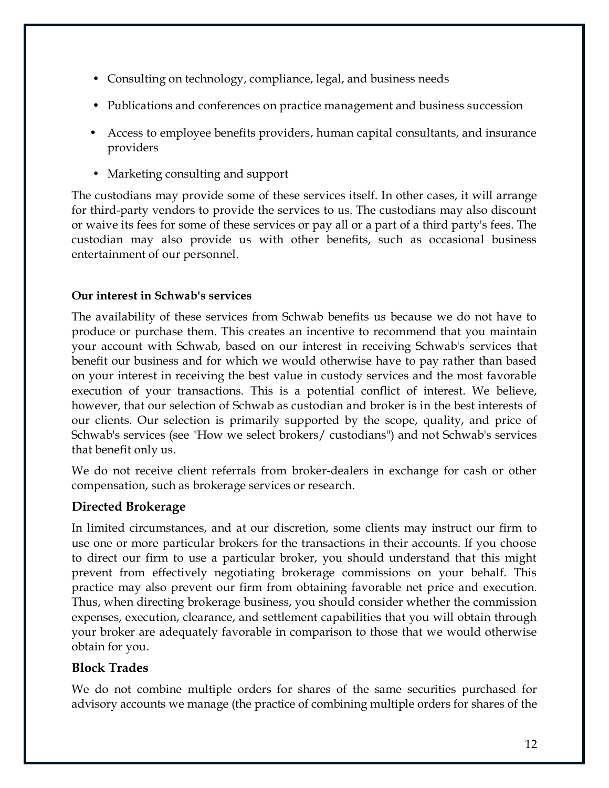- Consulting on technology, compliance, legal, and business needs
- Publications and conferences on practice management and business succession
- Access to employee benefits providers, human capital consultants, and insurance providers
- Marketing consulting and support

The custodians may provide some of these services itself. In other cases, it will arrange for third-party vendors to provide the services to us. The custodians may also discount or waive its fees for some of these services or pay all or a part of a third party's fees. The custodian may also provide us with other benefits, such as occasional business entertainment of our personnel.

#### **Our interest in Schwab's services**

The availability of these services from Schwab benefits us because we do not have to produce or purchase them. This creates an incentive to recommend that you maintain your account with Schwab, based on our interest in receiving Schwab's services that benefit our business and for which we would otherwise have to pay rather than based on your interest in receiving the best value in custody services and the most favorable execution of your transactions. This is a potential conflict of interest. We believe, however, that our selection of Schwab as custodian and broker is in the best interests of our clients. Our selection is primarily supported by the scope, quality, and price of Schwab's services (see "How we select brokers/ custodians") and not Schwab's services that benefit only us.

We do not receive client referrals from broker-dealers in exchange for cash or other compensation, such as brokerage services or research.

### **Directed Brokerage**

In limited circumstances, and at our discretion, some clients may instruct our firm to use one or more particular brokers for the transactions in their accounts. If you choose to direct our firm to use a particular broker, you should understand that this might prevent from effectively negotiating brokerage commissions on your behalf. This practice may also prevent our firm from obtaining favorable net price and execution. Thus, when directing brokerage business, you should consider whether the commission expenses, execution, clearance, and settlement capabilities that you will obtain through your broker are adequately favorable in comparison to those that we would otherwise obtain for you.

### **Block Trades**

We do not combine multiple orders for shares of the same securities purchased for advisory accounts we manage (the practice of combining multiple orders for shares of the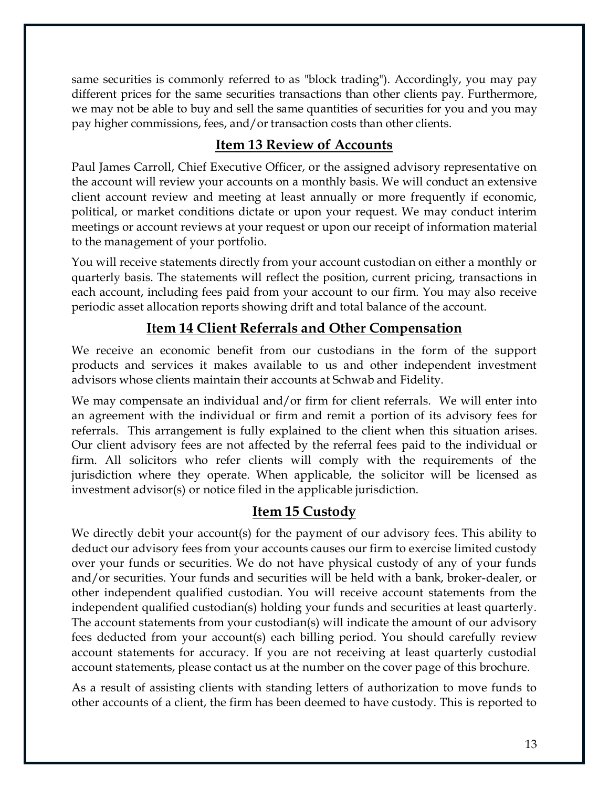same securities is commonly referred to as "block trading"). Accordingly, you may pay different prices for the same securities transactions than other clients pay. Furthermore, we may not be able to buy and sell the same quantities of securities for you and you may pay higher commissions, fees, and/or transaction costs than other clients.

# **Item 13 Review of Accounts**

<span id="page-18-0"></span>Paul James Carroll, Chief Executive Officer, or the assigned advisory representative on the account will review your accounts on a monthly basis. We will conduct an extensive client account review and meeting at least annually or more frequently if economic, political, or market conditions dictate or upon your request. We may conduct interim meetings or account reviews at your request or upon our receipt of information material to the management of your portfolio.

You will receive statements directly from your account custodian on either a monthly or quarterly basis. The statements will reflect the position, current pricing, transactions in each account, including fees paid from your account to our firm. You may also receive periodic asset allocation reports showing drift and total balance of the account.

# **Item 14 Client Referrals and Other Compensation**

<span id="page-18-1"></span>We receive an economic benefit from our custodians in the form of the support products and services it makes available to us and other independent investment advisors whose clients maintain their accounts at Schwab and Fidelity.

We may compensate an individual and/or firm for client referrals. We will enter into an agreement with the individual or firm and remit a portion of its advisory fees for referrals. This arrangement is fully explained to the client when this situation arises. Our client advisory fees are not affected by the referral fees paid to the individual or firm. All solicitors who refer clients will comply with the requirements of the jurisdiction where they operate. When applicable, the solicitor will be licensed as investment advisor(s) or notice filed in the applicable jurisdiction.

# **Item 15 Custody**

<span id="page-18-2"></span>We directly debit your account(s) for the payment of our advisory fees. This ability to deduct our advisory fees from your accounts causes our firm to exercise limited custody over your funds or securities. We do not have physical custody of any of your funds and/or securities. Your funds and securities will be held with a bank, broker-dealer, or other independent qualified custodian. You will receive account statements from the independent qualified custodian(s) holding your funds and securities at least quarterly. The account statements from your custodian(s) will indicate the amount of our advisory fees deducted from your account(s) each billing period. You should carefully review account statements for accuracy. If you are not receiving at least quarterly custodial account statements, please contact us at the number on the cover page of this brochure.

As a result of assisting clients with standing letters of authorization to move funds to other accounts of a client, the firm has been deemed to have custody. This is reported to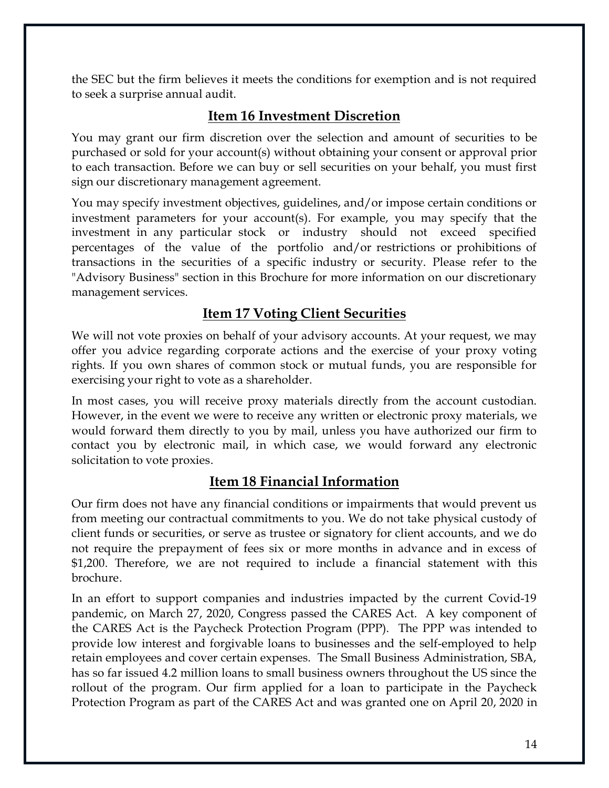the SEC but the firm believes it meets the conditions for exemption and is not required to seek a surprise annual audit.

# **Item 16 Investment Discretion**

<span id="page-19-0"></span>You may grant our firm discretion over the selection and amount of securities to be purchased or sold for your account(s) without obtaining your consent or approval prior to each transaction. Before we can buy or sell securities on your behalf, you must first sign our discretionary management agreement.

You may specify investment objectives, guidelines, and/or impose certain conditions or investment parameters for your account(s). For example, you may specify that the investment in any particular stock or industry should not exceed specified percentages of the value of the portfolio and/or restrictions or prohibitions of transactions in the securities of a specific industry or security. Please refer to the "Advisory Business" section in this Brochure for more information on our discretionary management services.

# **Item 17 Voting Client Securities**

<span id="page-19-1"></span>We will not vote proxies on behalf of your advisory accounts. At your request, we may offer you advice regarding corporate actions and the exercise of your proxy voting rights. If you own shares of common stock or mutual funds, you are responsible for exercising your right to vote as a shareholder.

In most cases, you will receive proxy materials directly from the account custodian. However, in the event we were to receive any written or electronic proxy materials, we would forward them directly to you by mail, unless you have authorized our firm to contact you by electronic mail, in which case, we would forward any electronic solicitation to vote proxies.

# **Item 18 Financial Information**

<span id="page-19-2"></span>Our firm does not have any financial conditions or impairments that would prevent us from meeting our contractual commitments to you. We do not take physical custody of client funds or securities, or serve as trustee or signatory for client accounts, and we do not require the prepayment of fees six or more months in advance and in excess of \$1,200. Therefore, we are not required to include a financial statement with this brochure.

In an effort to support companies and industries impacted by the current Covid-19 pandemic, on March 27, 2020, Congress passed the CARES Act. A key component of the CARES Act is the Paycheck Protection Program (PPP). The PPP was intended to provide low interest and forgivable loans to businesses and the self-employed to help retain employees and cover certain expenses. The Small Business Administration, SBA, has so far issued 4.2 million loans to small business owners throughout the US since the rollout of the program. Our firm applied for a loan to participate in the Paycheck Protection Program as part of the CARES Act and was granted one on April 20, 2020 in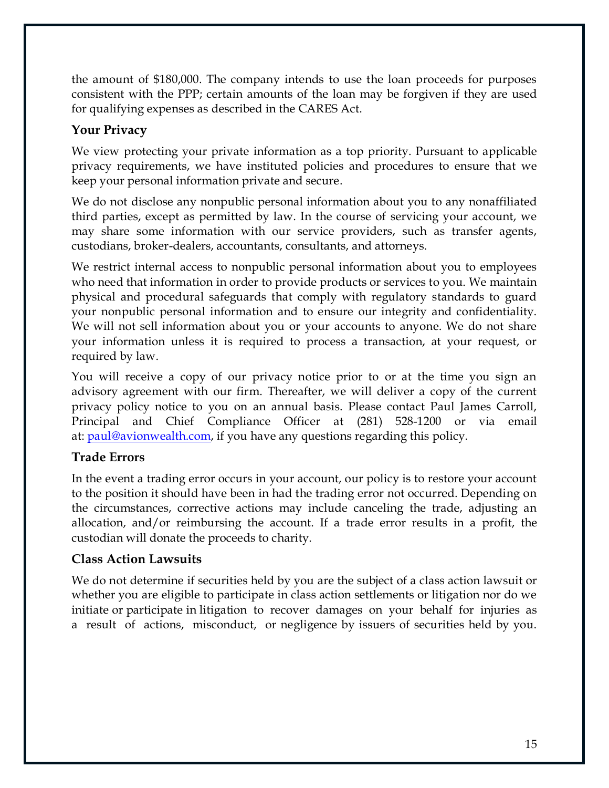the amount of \$180,000. The company intends to use the loan proceeds for purposes consistent with the PPP; certain amounts of the loan may be forgiven if they are used for qualifying expenses as described in the CARES Act.

# **Your Privacy**

We view protecting your private information as a top priority. Pursuant to applicable privacy requirements, we have instituted policies and procedures to ensure that we keep your personal information private and secure.

We do not disclose any nonpublic personal information about you to any nonaffiliated third parties, except as permitted by law. In the course of servicing your account, we may share some information with our service providers, such as transfer agents, custodians, broker-dealers, accountants, consultants, and attorneys.

We restrict internal access to nonpublic personal information about you to employees who need that information in order to provide products or services to you. We maintain physical and procedural safeguards that comply with regulatory standards to guard your nonpublic personal information and to ensure our integrity and confidentiality. We will not sell information about you or your accounts to anyone. We do not share your information unless it is required to process a transaction, at your request, or required by law.

You will receive a copy of our privacy notice prior to or at the time you sign an advisory agreement with our firm. Thereafter, we will deliver a copy of the current privacy policy notice to you on an annual basis. Please contact Paul James Carroll, Principal and Chief Compliance Officer at (281) 528-1200 or via email at: **paul@avionwealth.com**, if you have any questions regarding this policy.

# **Trade Errors**

In the event a trading error occurs in your account, our policy is to restore your account to the position it should have been in had the trading error not occurred. Depending on the circumstances, corrective actions may include canceling the trade, adjusting an allocation, and/or reimbursing the account. If a trade error results in a profit, the custodian will donate the proceeds to charity.

# **Class Action Lawsuits**

We do not determine if securities held by you are the subject of a class action lawsuit or whether you are eligible to participate in class action settlements or litigation nor do we initiate or participate in litigation to recover damages on your behalf for injuries as a result of actions, misconduct, or negligence by issuers of securities held by you.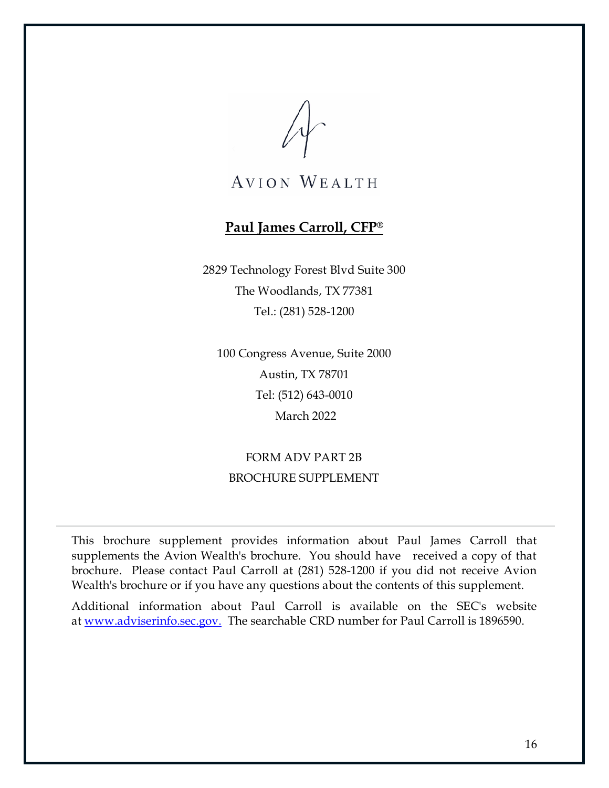# **Paul James Carroll, CFP®**

<span id="page-21-0"></span>2829 Technology Forest Blvd Suite 300 The Woodlands, TX 77381 Tel.: (281) 528-1200

100 Congress Avenue, Suite 2000 Austin, TX 78701 Tel: (512) 643-0010 March 2022

FORM ADV PART 2B BROCHURE SUPPLEMENT

This brochure supplement provides information about Paul James Carroll that supplements the Avion Wealth's brochure. You should have received a copy of that brochure. Please contact Paul Carroll at (281) 528-1200 if you did not receive Avion Wealth's brochure or if you have any questions about the contents of this supplement.

Additional information about Paul Carroll is available on the SEC's website at [www.adviserinfo.sec.gov.](http://www.adviserinfo.sec.gov/) The searchable CRD number for Paul Carroll is 1896590.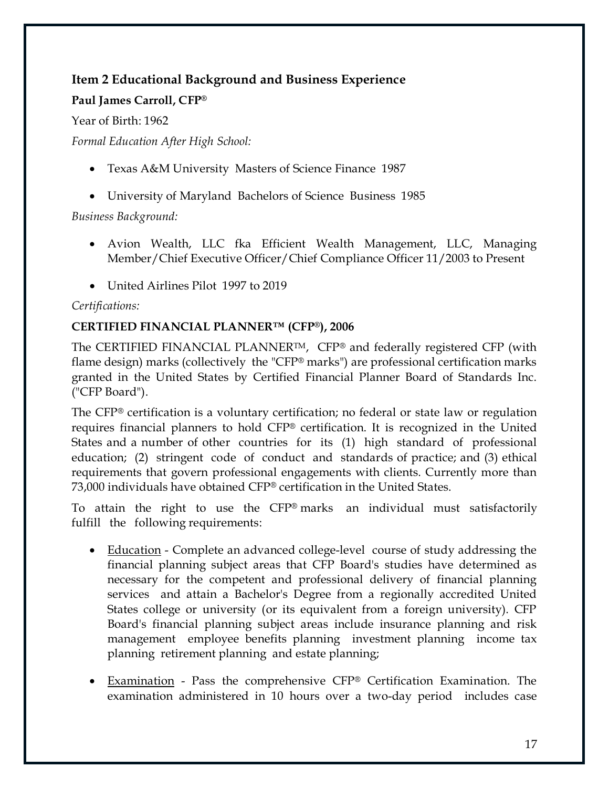## **Item 2 Educational Background and Business Experience**

#### **Paul James Carroll, CFP®**

Year of Birth: 1962

*Formal Education After High School:* 

- Texas A&M University Masters of Science Finance 1987
- University of Maryland Bachelors of Science Business 1985

*Business Background:* 

- Avion Wealth, LLC fka Efficient Wealth Management, LLC, Managing Member/Chief Executive Officer/Chief Compliance Officer 11/2003 to Present
- United Airlines Pilot 1997 to 2019

#### *Certifications:*

#### **CERTIFIED FINANCIAL PLANNER™ (CFP®), 2006**

The CERTIFIED FINANCIAL PLANNER<sup>TM</sup>, CFP® and federally registered CFP (with flame design) marks (collectively the "CFP® marks") are professional certification marks granted in the United States by Certified Financial Planner Board of Standards Inc. ("CFP Board").

The CFP® certification is a voluntary certification; no federal or state law or regulation requires financial planners to hold CFP® certification. It is recognized in the United States and a number of other countries for its (1) high standard of professional education; (2) stringent code of conduct and standards of practice; and (3) ethical requirements that govern professional engagements with clients. Currently more than 73,000 individuals have obtained CFP® certification in the United States.

To attain the right to use the CFP® marks an individual must satisfactorily fulfill the following requirements:

- Education Complete an advanced college-level course of study addressing the financial planning subject areas that CFP Board's studies have determined as necessary for the competent and professional delivery of financial planning services and attain a Bachelor's Degree from a regionally accredited United States college or university (or its equivalent from a foreign university). CFP Board's financial planning subject areas include insurance planning and risk management employee benefits planning investment planning income tax planning retirement planning and estate planning;
- Examination Pass the comprehensive CFP® Certification Examination. The examination administered in 10 hours over a two-day period includes case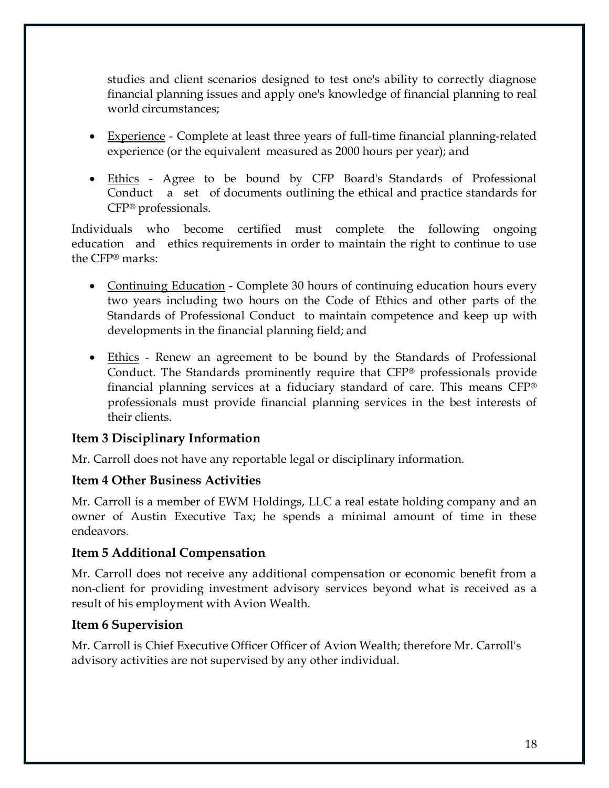studies and client scenarios designed to test one's ability to correctly diagnose financial planning issues and apply one's knowledge of financial planning to real world circumstances;

- Experience Complete at least three years of full-time financial planning-related experience (or the equivalent measured as 2000 hours per year); and
- Ethics Agree to be bound by CFP Board's Standards of Professional Conduct a set of documents outlining the ethical and practice standards for CFP® professionals.

Individuals who become certified must complete the following ongoing education and ethics requirements in order to maintain the right to continue to use the CFP® marks:

- Continuing Education Complete 30 hours of continuing education hours every two years including two hours on the Code of Ethics and other parts of the Standards of Professional Conduct to maintain competence and keep up with developments in the financial planning field; and
- Ethics Renew an agreement to be bound by the Standards of Professional Conduct. The Standards prominently require that CFP® professionals provide financial planning services at a fiduciary standard of care. This means CFP® professionals must provide financial planning services in the best interests of their clients.

### **Item 3 Disciplinary Information**

Mr. Carroll does not have any reportable legal or disciplinary information.

### **Item 4 Other Business Activities**

Mr. Carroll is a member of EWM Holdings, LLC a real estate holding company and an owner of Austin Executive Tax; he spends a minimal amount of time in these endeavors.

#### **Item 5 Additional Compensation**

Mr. Carroll does not receive any additional compensation or economic benefit from a non-client for providing investment advisory services beyond what is received as a result of his employment with Avion Wealth.

### **Item 6 Supervision**

Mr. Carroll is Chief Executive Officer Officer of Avion Wealth; therefore Mr. Carroll's advisory activities are not supervised by any other individual.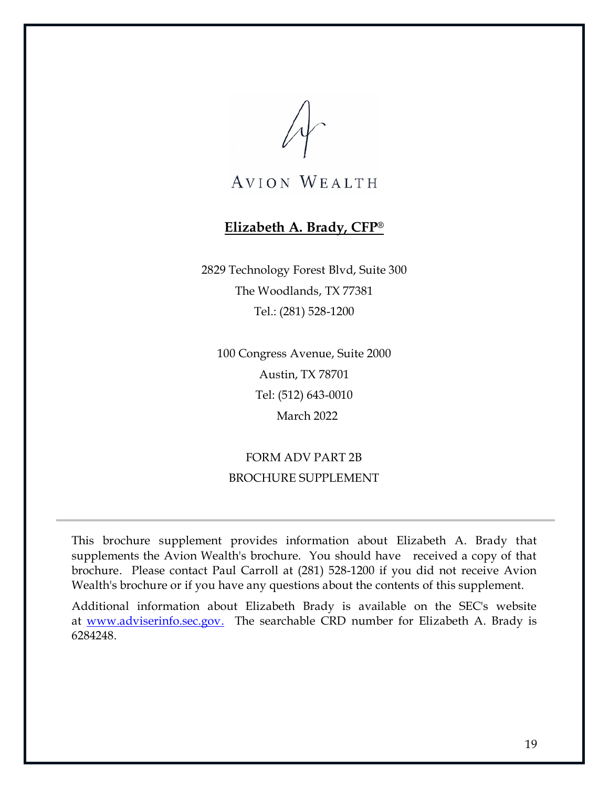### **Elizabeth A. Brady, CFP®**

<span id="page-24-0"></span>2829 Technology Forest Blvd, Suite 300 The Woodlands, TX 77381 Tel.: (281) 528-1200

100 Congress Avenue, Suite 2000 Austin, TX 78701 Tel: (512) 643-0010 March 2022

# FORM ADV PART 2B BROCHURE SUPPLEMENT

This brochure supplement provides information about Elizabeth A. Brady that supplements the Avion Wealth's brochure. You should have received a copy of that brochure. Please contact Paul Carroll at (281) 528-1200 if you did not receive Avion Wealth's brochure or if you have any questions about the contents of this supplement.

Additional information about Elizabeth Brady is available on the SEC's website at [www.adviserinfo.sec.gov.](http://www.adviserinfo.sec.gov/) The searchable CRD number for Elizabeth A. Brady is 6284248.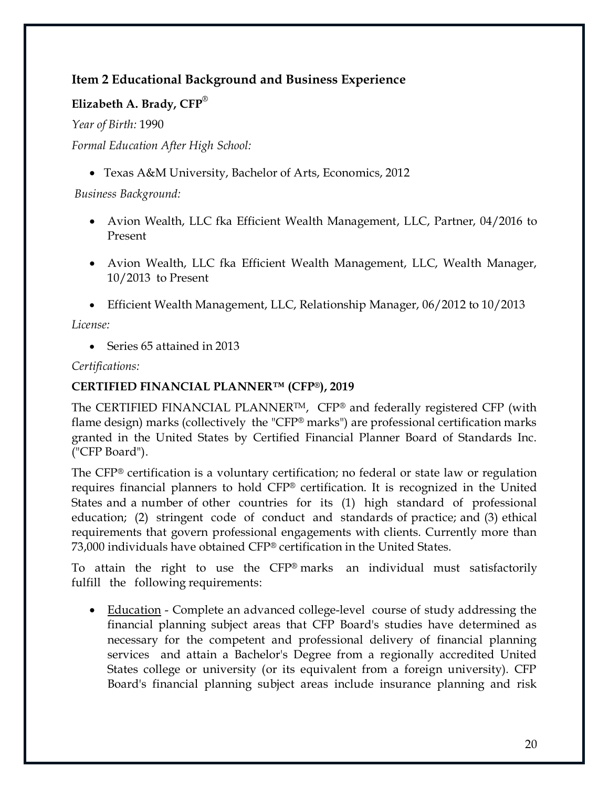## **Item 2 Educational Background and Business Experience**

### **Elizabeth A. Brady, CFP**®

*Year of Birth:* 1990

*Formal Education After High School:*

• Texas A&M University, Bachelor of Arts, Economics, 2012

*Business Background:*

- Avion Wealth, LLC fka Efficient Wealth Management, LLC, Partner, 04/2016 to Present
- Avion Wealth, LLC fka Efficient Wealth Management, LLC, Wealth Manager, 10/2013 to Present
- Efficient Wealth Management, LLC, Relationship Manager, 06/2012 to 10/2013

*License:*

• Series 65 attained in 2013

*Certifications:* 

#### **CERTIFIED FINANCIAL PLANNER™ (CFP®), 2019**

The CERTIFIED FINANCIAL PLANNERTM, CFP® and federally registered CFP (with flame design) marks (collectively the "CFP® marks") are professional certification marks granted in the United States by Certified Financial Planner Board of Standards Inc. ("CFP Board").

The CFP® certification is a voluntary certification; no federal or state law or regulation requires financial planners to hold CFP® certification. It is recognized in the United States and a number of other countries for its (1) high standard of professional education; (2) stringent code of conduct and standards of practice; and (3) ethical requirements that govern professional engagements with clients. Currently more than 73,000 individuals have obtained CFP® certification in the United States.

To attain the right to use the CFP® marks an individual must satisfactorily fulfill the following requirements:

• Education - Complete an advanced college-level course of study addressing the financial planning subject areas that CFP Board's studies have determined as necessary for the competent and professional delivery of financial planning services and attain a Bachelor's Degree from a regionally accredited United States college or university (or its equivalent from a foreign university). CFP Board's financial planning subject areas include insurance planning and risk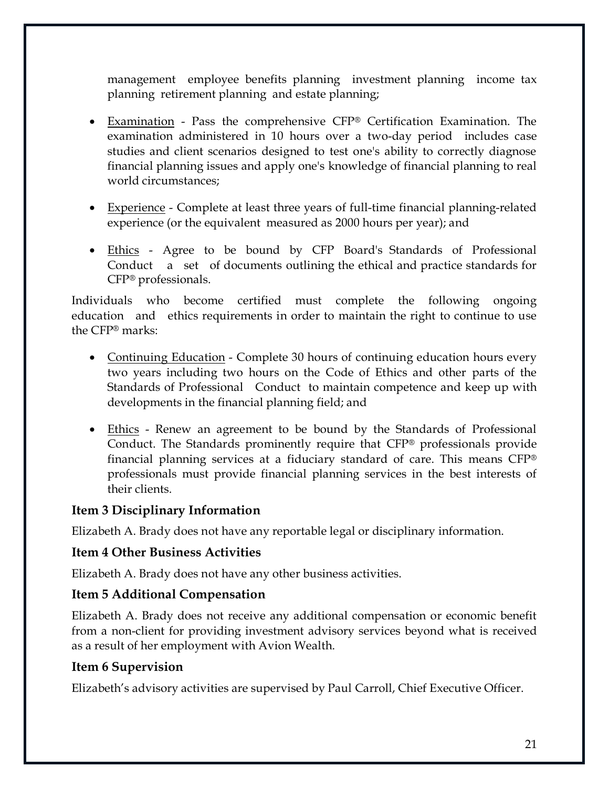management employee benefits planning investment planning income tax planning retirement planning and estate planning;

- Examination Pass the comprehensive CFP® Certification Examination. The examination administered in 10 hours over a two-day period includes case studies and client scenarios designed to test one's ability to correctly diagnose financial planning issues and apply one's knowledge of financial planning to real world circumstances;
- Experience Complete at least three years of full-time financial planning-related experience (or the equivalent measured as 2000 hours per year); and
- Ethics Agree to be bound by CFP Board's Standards of Professional Conduct a set of documents outlining the ethical and practice standards for CFP® professionals.

Individuals who become certified must complete the following ongoing education and ethics requirements in order to maintain the right to continue to use the CFP® marks:

- Continuing Education Complete 30 hours of continuing education hours every two years including two hours on the Code of Ethics and other parts of the Standards of Professional Conduct to maintain competence and keep up with developments in the financial planning field; and
- Ethics Renew an agreement to be bound by the Standards of Professional Conduct. The Standards prominently require that CFP® professionals provide financial planning services at a fiduciary standard of care. This means CFP® professionals must provide financial planning services in the best interests of their clients.

#### **Item 3 Disciplinary Information**

Elizabeth A. Brady does not have any reportable legal or disciplinary information.

#### **Item 4 Other Business Activities**

Elizabeth A. Brady does not have any other business activities.

#### **Item 5 Additional Compensation**

Elizabeth A. Brady does not receive any additional compensation or economic benefit from a non-client for providing investment advisory services beyond what is received as a result of her employment with Avion Wealth.

#### **Item 6 Supervision**

Elizabeth's advisory activities are supervised by Paul Carroll, Chief Executive Officer.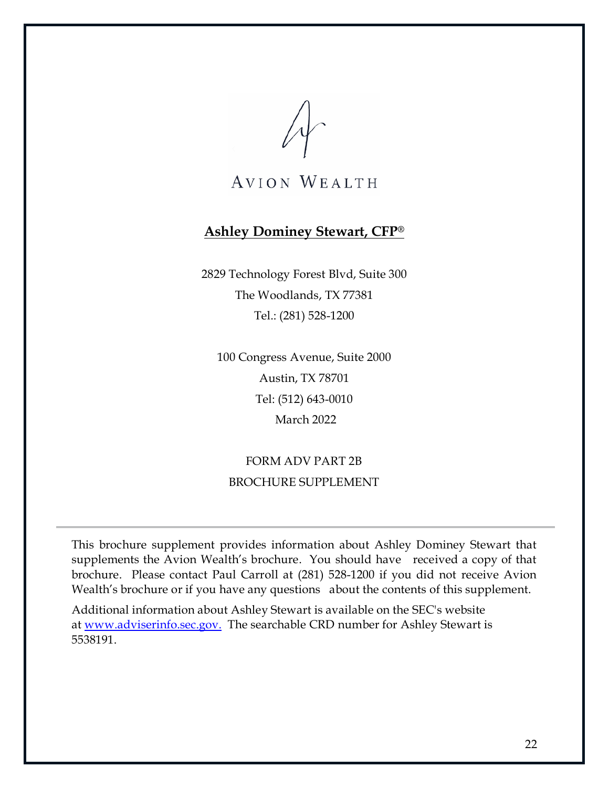**AVION WEALTH** 

#### <span id="page-27-0"></span>**Ashley Dominey Stewart, CFP®**

2829 Technology Forest Blvd, Suite 300 The Woodlands, TX 77381 Tel.: (281) 528-1200

100 Congress Avenue, Suite 2000 Austin, TX 78701 Tel: (512) 643-0010 March 2022

FORM ADV PART 2B BROCHURE SUPPLEMENT

This brochure supplement provides information about Ashley Dominey Stewart that supplements the Avion Wealth's brochure. You should have received a copy of that brochure. Please contact Paul Carroll at (281) 528-1200 if you did not receive Avion Wealth's brochure or if you have any questions about the contents of this supplement.

Additional information about Ashley Stewart is available on the SEC's website at [www.adviserinfo.sec.gov.](http://www.adviserinfo.sec.gov/) The searchable CRD number for Ashley Stewart is 5538191.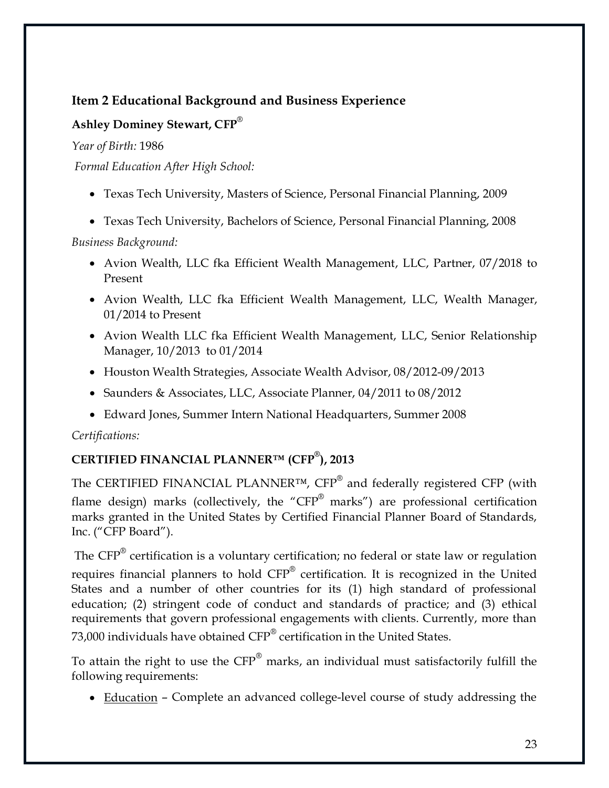# **Item 2 Educational Background and Business Experience**

## **Ashley Dominey Stewart, CFP**®

*Year of Birth:* 1986

*Formal Education After High School:*

- Texas Tech University, Masters of Science, Personal Financial Planning, 2009
- Texas Tech University, Bachelors of Science, Personal Financial Planning, 2008

*Business Background:*

- Avion Wealth, LLC fka Efficient Wealth Management, LLC, Partner, 07/2018 to Present
- Avion Wealth, LLC fka Efficient Wealth Management, LLC, Wealth Manager, 01/2014 to Present
- Avion Wealth LLC fka Efficient Wealth Management, LLC, Senior Relationship Manager, 10/2013 to 01/2014
- Houston Wealth Strategies, Associate Wealth Advisor, 08/2012-09/2013
- Saunders & Associates, LLC, Associate Planner, 04/2011 to 08/2012
- Edward Jones, Summer Intern National Headquarters, Summer 2008

*Certifications:*

# **CERTIFIED FINANCIAL PLANNER™ (CFP® ), 2013**

The CERTIFIED FINANCIAL PLANNER<sup>™</sup>,  $CFP^®$  and federally registered CFP (with flame design) marks (collectively, the "CFP® marks") are professional certification marks granted in the United States by Certified Financial Planner Board of Standards, Inc. ("CFP Board").

The  $\text{CFP}^{\circledast}$  certification is a voluntary certification; no federal or state law or regulation requires financial planners to hold  $CFP^{\otimes}$  certification. It is recognized in the United States and a number of other countries for its (1) high standard of professional education; (2) stringent code of conduct and standards of practice; and (3) ethical requirements that govern professional engagements with clients. Currently, more than 73,000 individuals have obtained CFP<sup>®</sup> certification in the United States.

To attain the right to use the CFP<sup>®</sup> marks, an individual must satisfactorily fulfill the following requirements:

• Education – Complete an advanced college-level course of study addressing the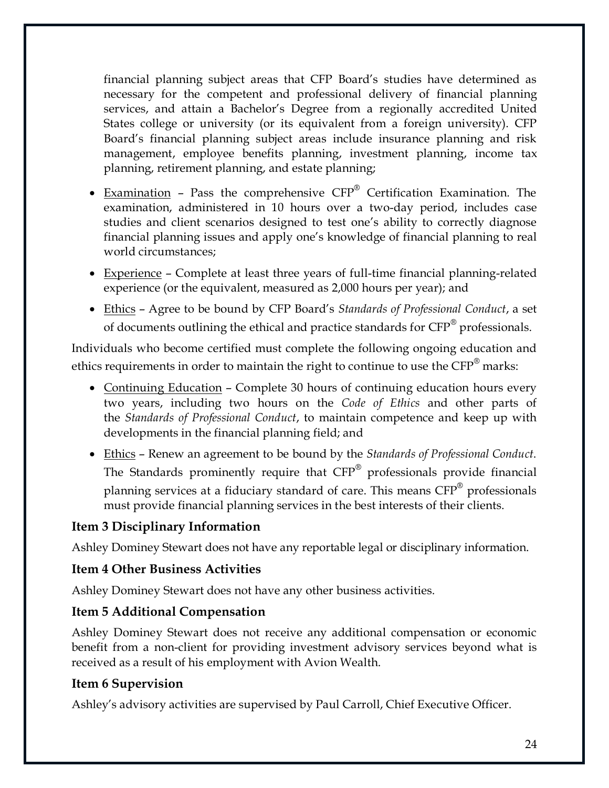financial planning subject areas that CFP Board's studies have determined as necessary for the competent and professional delivery of financial planning services, and attain a Bachelor's Degree from a regionally accredited United States college or university (or its equivalent from a foreign university). CFP Board's financial planning subject areas include insurance planning and risk management, employee benefits planning, investment planning, income tax planning, retirement planning, and estate planning;

- Examination Pass the comprehensive CFP® Certification Examination. The examination, administered in 10 hours over a two-day period, includes case studies and client scenarios designed to test one's ability to correctly diagnose financial planning issues and apply one's knowledge of financial planning to real world circumstances;
- Experience Complete at least three years of full-time financial planning-related experience (or the equivalent, measured as 2,000 hours per year); and
- Ethics Agree to be bound by CFP Board's *Standards of Professional Conduct*, a set of documents outlining the ethical and practice standards for CFP<sup>®</sup> professionals.

Individuals who become certified must complete the following ongoing education and ethics requirements in order to maintain the right to continue to use the CFP<sup>®</sup> marks:

- Continuing Education Complete 30 hours of continuing education hours every two years, including two hours on the *Code of Ethics* and other parts of the *Standards of Professional Conduct*, to maintain competence and keep up with developments in the financial planning field; and
- Ethics Renew an agreement to be bound by the *Standards of Professional Conduct*. The Standards prominently require that CFP® professionals provide financial planning services at a fiduciary standard of care. This means CFP® professionals must provide financial planning services in the best interests of their clients.

#### **Item 3 Disciplinary Information**

Ashley Dominey Stewart does not have any reportable legal or disciplinary information.

### **Item 4 Other Business Activities**

Ashley Dominey Stewart does not have any other business activities.

#### **Item 5 Additional Compensation**

Ashley Dominey Stewart does not receive any additional compensation or economic benefit from a non-client for providing investment advisory services beyond what is received as a result of his employment with Avion Wealth.

### **Item 6 Supervision**

Ashley's advisory activities are supervised by Paul Carroll, Chief Executive Officer.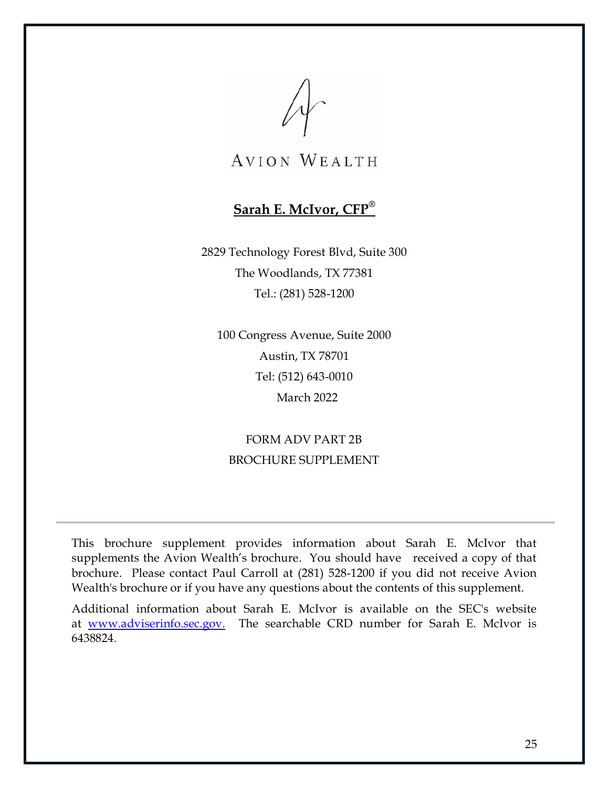# **Sarah E. McIvor, CFP®**

<span id="page-30-0"></span>2829 Technology Forest Blvd, Suite 300 The Woodlands, TX 77381 Tel.: (281) 528-1200

100 Congress Avenue, Suite 2000 Austin, TX 78701 Tel: (512) 643-0010 March 2022

FORM ADV PART 2B BROCHURE SUPPLEMENT

This brochure supplement provides information about Sarah E. McIvor that supplements the Avion Wealth's brochure. You should have received a copy of that brochure. Please contact Paul Carroll at (281) 528-1200 if you did not receive Avion Wealth's brochure or if you have any questions about the contents of this supplement.

Additional information about Sarah E. McIvor is available on the SEC's website at [www.adviserinfo.sec.gov.](http://www.adviserinfo.sec.gov/) The searchable CRD number for Sarah E. McIvor is 6438824.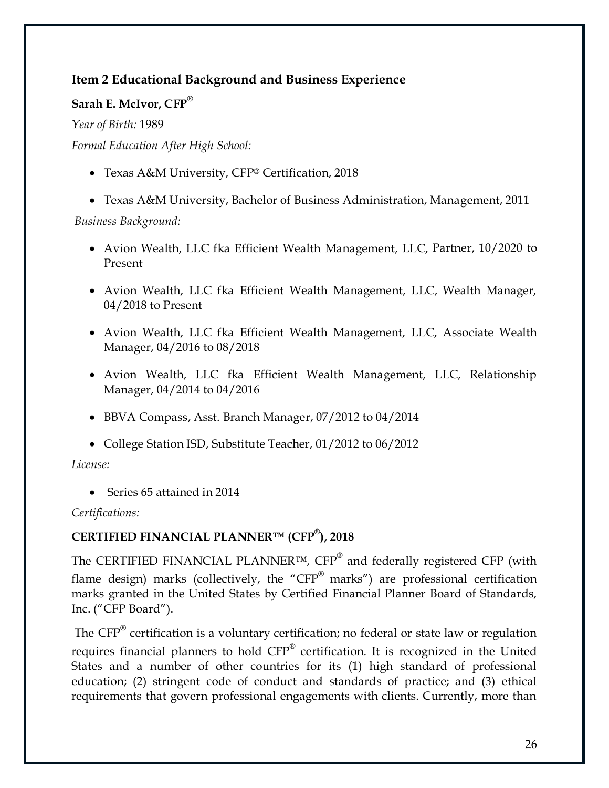# **Item 2 Educational Background and Business Experience**

#### **Sarah E. McIvor, CFP**®

*Year of Birth:* 1989

*Formal Education After High School:*

• Texas A&M University, CFP® Certification, 2018

• Texas A&M University, Bachelor of Business Administration, Management, 2011

*Business Background:*

- Avion Wealth, LLC fka Efficient Wealth Management, LLC, Partner, 10/2020 to Present
- Avion Wealth, LLC fka Efficient Wealth Management, LLC, Wealth Manager, 04/2018 to Present
- Avion Wealth, LLC fka Efficient Wealth Management, LLC, Associate Wealth Manager, 04/2016 to 08/2018
- Avion Wealth, LLC fka Efficient Wealth Management, LLC, Relationship Manager, 04/2014 to 04/2016
- BBVA Compass, Asst. Branch Manager, 07/2012 to 04/2014
- College Station ISD, Substitute Teacher, 01/2012 to 06/2012

*License:*

• Series 65 attained in 2014

*Certifications:*

### **CERTIFIED FINANCIAL PLANNER™ (CFP® ), 2018**

The CERTIFIED FINANCIAL PLANNER™, CFP<sup>®</sup> and federally registered CFP (with flame design) marks (collectively, the "CFP® marks") are professional certification marks granted in the United States by Certified Financial Planner Board of Standards, Inc. ("CFP Board").

The  $\mathrm{CFP}^{\circledast}$  certification is a voluntary certification; no federal or state law or regulation requires financial planners to hold CFP® certification. It is recognized in the United States and a number of other countries for its (1) high standard of professional education; (2) stringent code of conduct and standards of practice; and (3) ethical requirements that govern professional engagements with clients. Currently, more than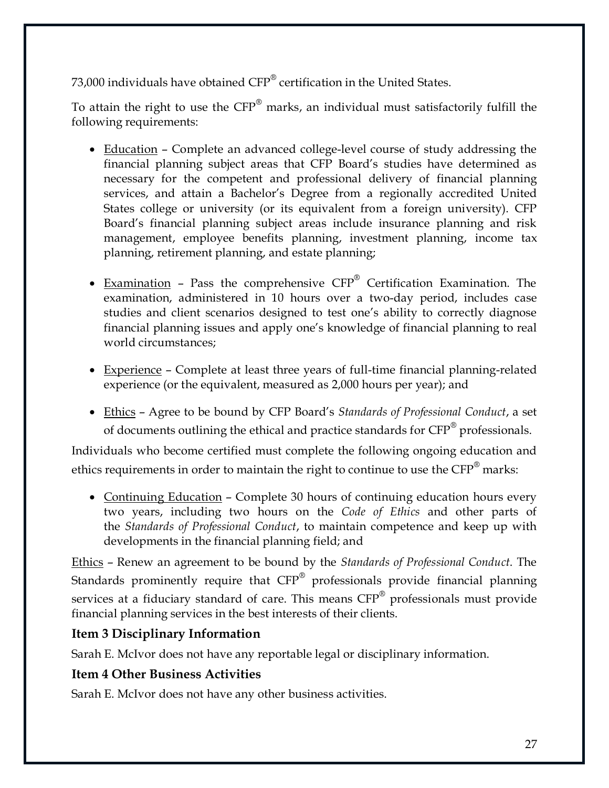73,000 individuals have obtained CFP® certification in the United States.

To attain the right to use the  $CFP^{\circledast}$  marks, an individual must satisfactorily fulfill the following requirements:

- Education Complete an advanced college-level course of study addressing the financial planning subject areas that CFP Board's studies have determined as necessary for the competent and professional delivery of financial planning services, and attain a Bachelor's Degree from a regionally accredited United States college or university (or its equivalent from a foreign university). CFP Board's financial planning subject areas include insurance planning and risk management, employee benefits planning, investment planning, income tax planning, retirement planning, and estate planning;
- Examination Pass the comprehensive CFP® Certification Examination. The examination, administered in 10 hours over a two-day period, includes case studies and client scenarios designed to test one's ability to correctly diagnose financial planning issues and apply one's knowledge of financial planning to real world circumstances;
- Experience Complete at least three years of full-time financial planning-related experience (or the equivalent, measured as 2,000 hours per year); and
- Ethics Agree to be bound by CFP Board's *Standards of Professional Conduct*, a set of documents outlining the ethical and practice standards for CFP<sup>®</sup> professionals.

Individuals who become certified must complete the following ongoing education and ethics requirements in order to maintain the right to continue to use the  $\text{CFP}^{\circledast}$  marks:

• Continuing Education – Complete 30 hours of continuing education hours every two years, including two hours on the *Code of Ethics* and other parts of the *Standards of Professional Conduct*, to maintain competence and keep up with developments in the financial planning field; and

Ethics – Renew an agreement to be bound by the *Standards of Professional Conduct*. The Standards prominently require that  $CFP^{\otimes}$  professionals provide financial planning services at a fiduciary standard of care. This means CFP<sup>®</sup> professionals must provide financial planning services in the best interests of their clients.

### **Item 3 Disciplinary Information**

Sarah E. McIvor does not have any reportable legal or disciplinary information.

### **Item 4 Other Business Activities**

Sarah E. McIvor does not have any other business activities.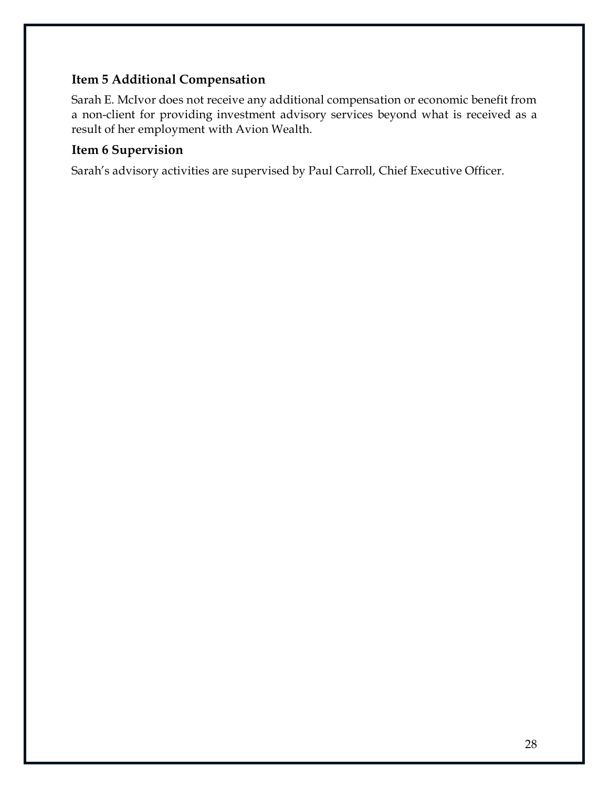### **Item 5 Additional Compensation**

Sarah E. McIvor does not receive any additional compensation or economic benefit from a non-client for providing investment advisory services beyond what is received as a result of her employment with Avion Wealth.

#### **Item 6 Supervision**

Sarah's advisory activities are supervised by Paul Carroll, Chief Executive Officer.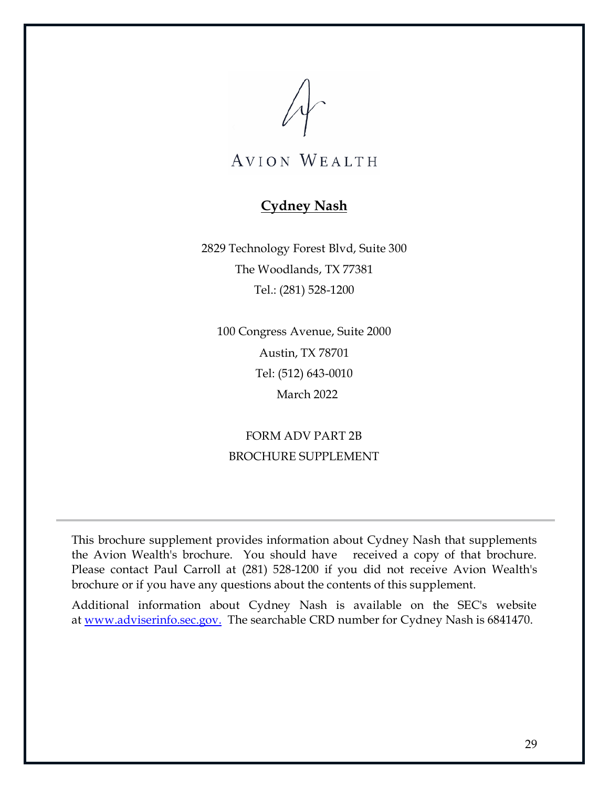

### **Cydney Nash**

<span id="page-34-0"></span>2829 Technology Forest Blvd, Suite 300 The Woodlands, TX 77381 Tel.: (281) 528-1200

100 Congress Avenue, Suite 2000 Austin, TX 78701 Tel: (512) 643-0010 March 2022

FORM ADV PART 2B BROCHURE SUPPLEMENT

This brochure supplement provides information about Cydney Nash that supplements the Avion Wealth's brochure. You should have received a copy of that brochure. Please contact Paul Carroll at (281) 528-1200 if you did not receive Avion Wealth's brochure or if you have any questions about the contents of this supplement.

Additional information about Cydney Nash is available on the SEC's website at [www.adviserinfo.sec.gov.](http://www.adviserinfo.sec.gov/) The searchable CRD number for Cydney Nash is 6841470.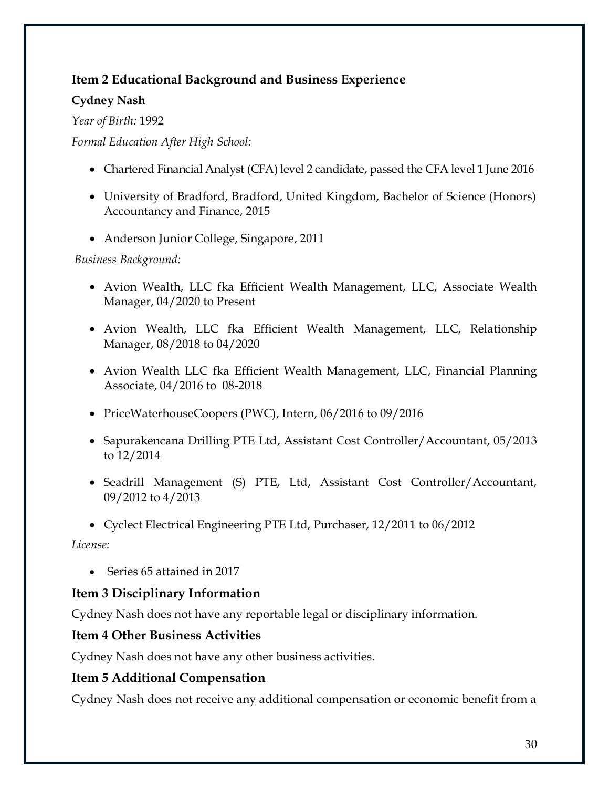## **Item 2 Educational Background and Business Experience**

### **Cydney Nash**

*Year of Birth:* 1992

*Formal Education After High School:*

- Chartered Financial Analyst (CFA) level 2 candidate, passed the CFA level 1 June 2016
- University of Bradford, Bradford, United Kingdom, Bachelor of Science (Honors) Accountancy and Finance, 2015
- Anderson Junior College, Singapore, 2011

*Business Background:*

- Avion Wealth, LLC fka Efficient Wealth Management, LLC, Associate Wealth Manager, 04/2020 to Present
- Avion Wealth, LLC fka Efficient Wealth Management, LLC, Relationship Manager, 08/2018 to 04/2020
- Avion Wealth LLC fka Efficient Wealth Management, LLC, Financial Planning Associate, 04/2016 to 08-2018
- PriceWaterhouseCoopers (PWC), Intern, 06/2016 to 09/2016
- Sapurakencana Drilling PTE Ltd, Assistant Cost Controller/Accountant, 05/2013 to 12/2014
- Seadrill Management (S) PTE, Ltd, Assistant Cost Controller/Accountant, 09/2012 to 4/2013
- Cyclect Electrical Engineering PTE Ltd, Purchaser, 12/2011 to 06/2012

*License:*

• Series 65 attained in 2017

# **Item 3 Disciplinary Information**

Cydney Nash does not have any reportable legal or disciplinary information.

# **Item 4 Other Business Activities**

Cydney Nash does not have any other business activities.

# **Item 5 Additional Compensation**

Cydney Nash does not receive any additional compensation or economic benefit from a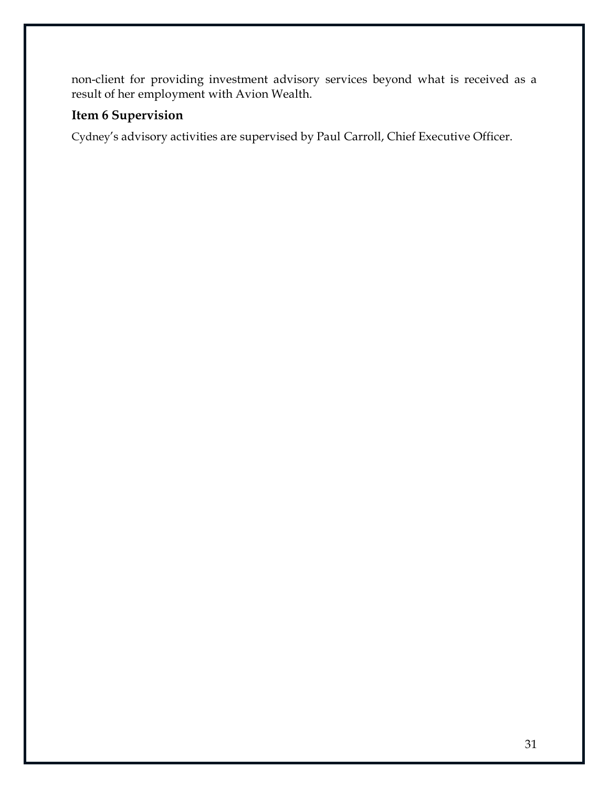non-client for providing investment advisory services beyond what is received as a result of her employment with Avion Wealth.

### **Item 6 Supervision**

Cydney's advisory activities are supervised by Paul Carroll, Chief Executive Officer.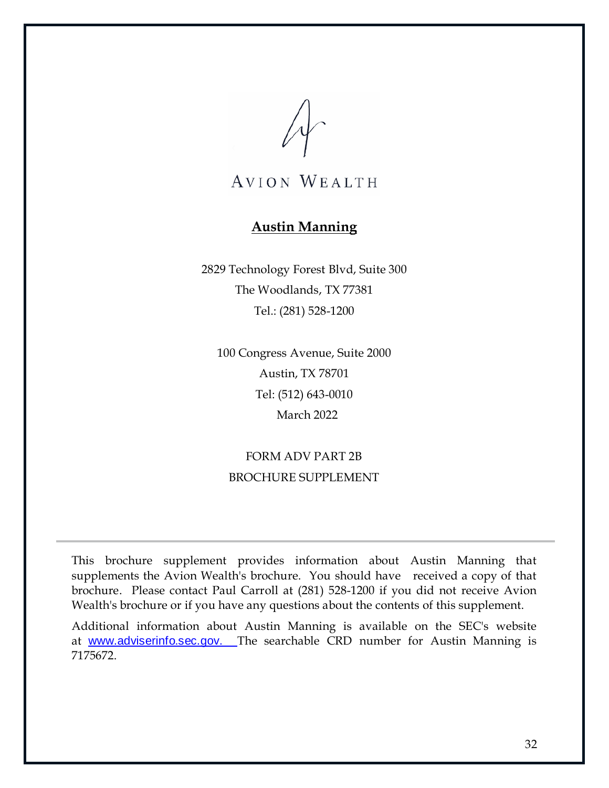# **Austin Manning**

<span id="page-37-0"></span>2829 Technology Forest Blvd, Suite 300 The Woodlands, TX 77381 Tel.: (281) 528-1200

100 Congress Avenue, Suite 2000 Austin, TX 78701 Tel: (512) 643-0010 March 2022

# FORM ADV PART 2B BROCHURE SUPPLEMENT

This brochure supplement provides information about Austin Manning that supplements the Avion Wealth's brochure. You should have received a copy of that brochure. Please contact Paul Carroll at (281) 528-1200 if you did not receive Avion Wealth's brochure or if you have any questions about the contents of this supplement.

Additional information about Austin Manning is available on the SEC's website at [www.adviserinfo.sec.gov.](http://www.adviserinfo.sec.gov/) The searchable CRD number for Austin Manning is 7175672.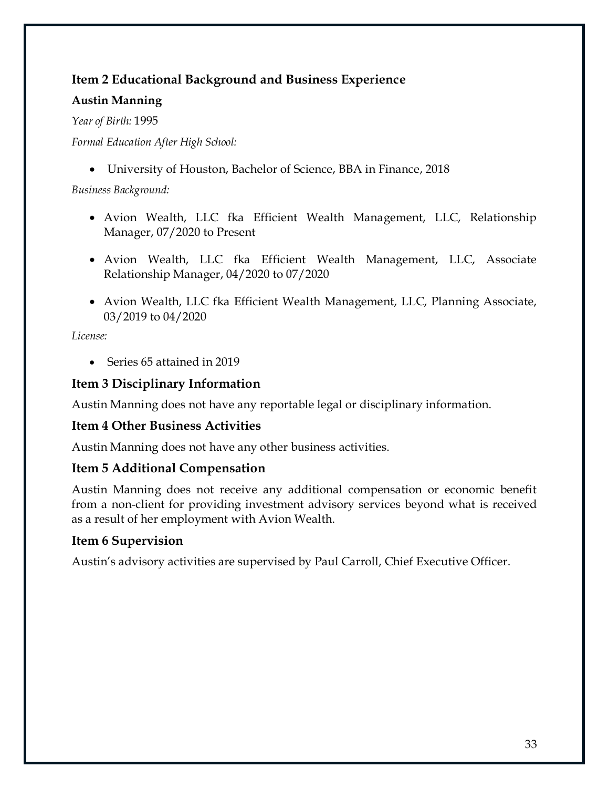# **Item 2 Educational Background and Business Experience**

#### **Austin Manning**

*Year of Birth:* 1995

*Formal Education After High School:*

• University of Houston, Bachelor of Science, BBA in Finance, 2018

*Business Background:*

- Avion Wealth, LLC fka Efficient Wealth Management, LLC, Relationship Manager, 07/2020 to Present
- Avion Wealth, LLC fka Efficient Wealth Management, LLC, Associate Relationship Manager, 04/2020 to 07/2020
- Avion Wealth, LLC fka Efficient Wealth Management, LLC, Planning Associate, 03/2019 to 04/2020

*License:*

• Series 65 attained in 2019

## **Item 3 Disciplinary Information**

Austin Manning does not have any reportable legal or disciplinary information.

### **Item 4 Other Business Activities**

Austin Manning does not have any other business activities.

### **Item 5 Additional Compensation**

Austin Manning does not receive any additional compensation or economic benefit from a non-client for providing investment advisory services beyond what is received as a result of her employment with Avion Wealth.

# **Item 6 Supervision**

Austin's advisory activities are supervised by Paul Carroll, Chief Executive Officer.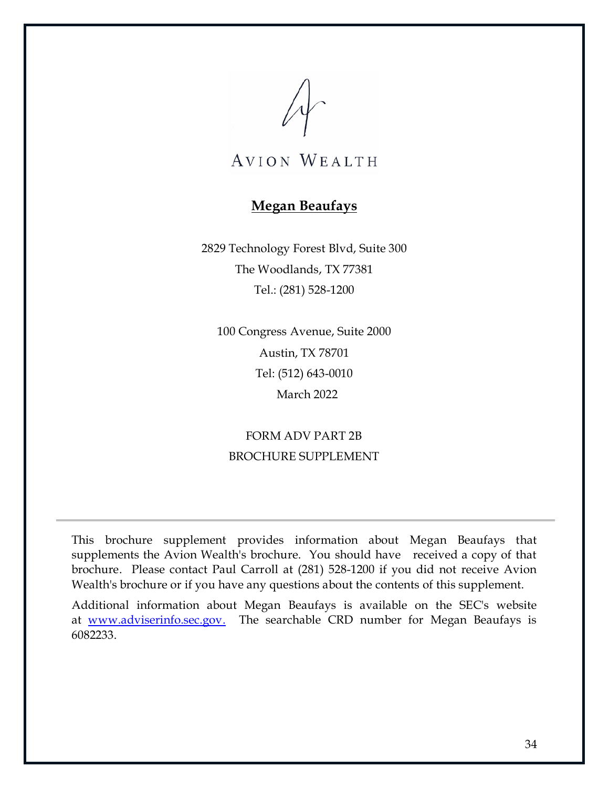

# **Megan Beaufays**

<span id="page-39-0"></span>2829 Technology Forest Blvd, Suite 300 The Woodlands, TX 77381 Tel.: (281) 528-1200

100 Congress Avenue, Suite 2000 Austin, TX 78701 Tel: (512) 643-0010 March 2022

FORM ADV PART 2B BROCHURE SUPPLEMENT

This brochure supplement provides information about Megan Beaufays that supplements the Avion Wealth's brochure. You should have received a copy of that brochure. Please contact Paul Carroll at (281) 528-1200 if you did not receive Avion Wealth's brochure or if you have any questions about the contents of this supplement.

Additional information about Megan Beaufays is available on the SEC's website at [www.adviserinfo.sec.gov.](http://www.adviserinfo.sec.gov/) The searchable CRD number for Megan Beaufays is 6082233.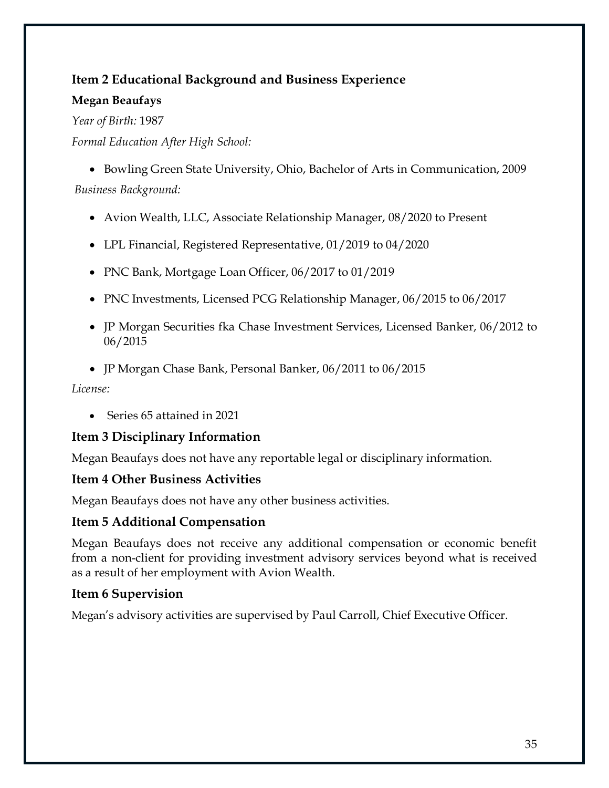# **Item 2 Educational Background and Business Experience**

#### **Megan Beaufays**

*Year of Birth:* 1987

*Formal Education After High School:*

• Bowling Green State University, Ohio, Bachelor of Arts in Communication, 2009 *Business Background:*

- Avion Wealth, LLC, Associate Relationship Manager, 08/2020 to Present
- LPL Financial, Registered Representative, 01/2019 to 04/2020
- PNC Bank, Mortgage Loan Officer, 06/2017 to 01/2019
- PNC Investments, Licensed PCG Relationship Manager, 06/2015 to 06/2017
- JP Morgan Securities fka Chase Investment Services, Licensed Banker, 06/2012 to 06/2015
- JP Morgan Chase Bank, Personal Banker, 06/2011 to 06/2015

*License:*

• Series 65 attained in 2021

### **Item 3 Disciplinary Information**

Megan Beaufays does not have any reportable legal or disciplinary information.

#### **Item 4 Other Business Activities**

Megan Beaufays does not have any other business activities.

### **Item 5 Additional Compensation**

Megan Beaufays does not receive any additional compensation or economic benefit from a non-client for providing investment advisory services beyond what is received as a result of her employment with Avion Wealth.

#### **Item 6 Supervision**

Megan's advisory activities are supervised by Paul Carroll, Chief Executive Officer.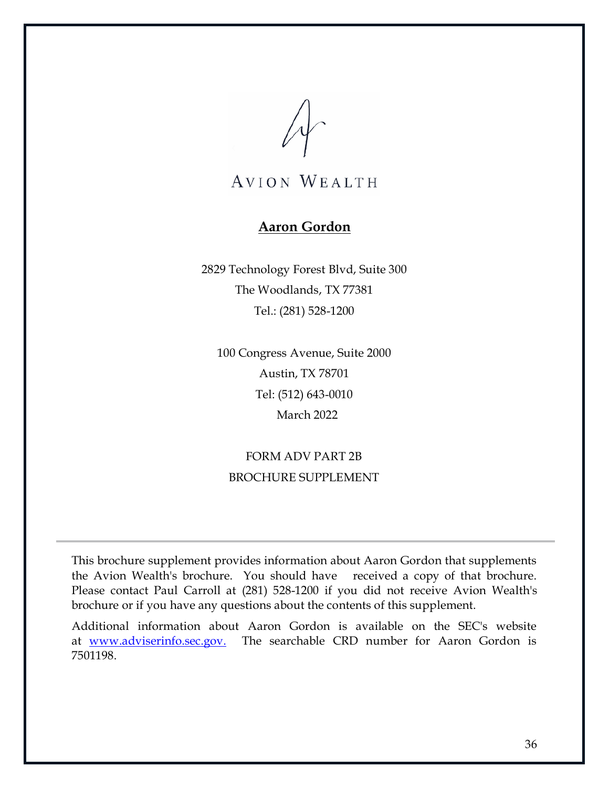# **Aaron Gordon**

<span id="page-41-0"></span>2829 Technology Forest Blvd, Suite 300 The Woodlands, TX 77381 Tel.: (281) 528-1200

100 Congress Avenue, Suite 2000 Austin, TX 78701 Tel: (512) 643-0010 March 2022

# FORM ADV PART 2B BROCHURE SUPPLEMENT

This brochure supplement provides information about Aaron Gordon that supplements the Avion Wealth's brochure. You should have received a copy of that brochure. Please contact Paul Carroll at (281) 528-1200 if you did not receive Avion Wealth's brochure or if you have any questions about the contents of this supplement.

Additional information about Aaron Gordon is available on the SEC's website at [www.adviserinfo.sec.gov.](http://www.adviserinfo.sec.gov/) The searchable CRD number for Aaron Gordon is 7501198.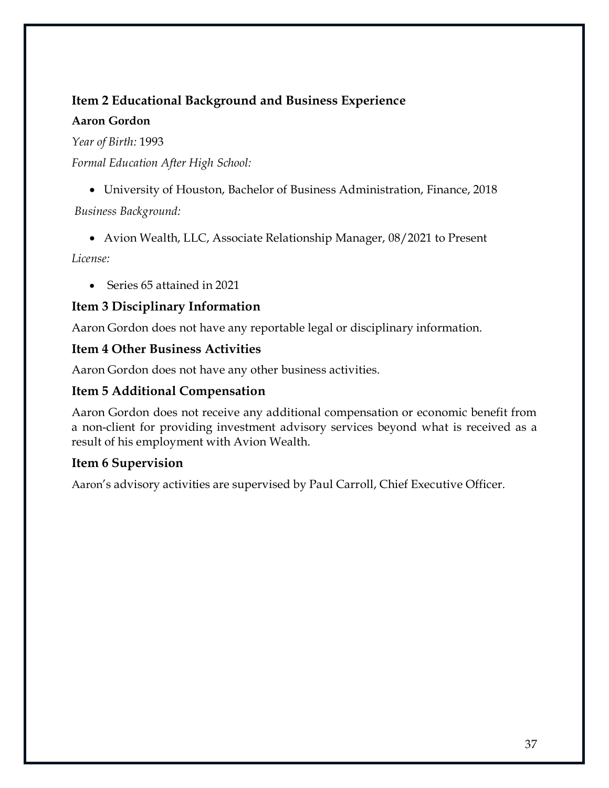## **Item 2 Educational Background and Business Experience**

#### **Aaron Gordon**

*Year of Birth:* 1993

*Formal Education After High School:*

• University of Houston, Bachelor of Business Administration, Finance, 2018 *Business Background:*

• Avion Wealth, LLC, Associate Relationship Manager, 08/2021 to Present

*License:*

• Series 65 attained in 2021

## **Item 3 Disciplinary Information**

Aaron Gordon does not have any reportable legal or disciplinary information.

### **Item 4 Other Business Activities**

Aaron Gordon does not have any other business activities.

## **Item 5 Additional Compensation**

Aaron Gordon does not receive any additional compensation or economic benefit from a non-client for providing investment advisory services beyond what is received as a result of his employment with Avion Wealth.

### **Item 6 Supervision**

Aaron's advisory activities are supervised by Paul Carroll, Chief Executive Officer.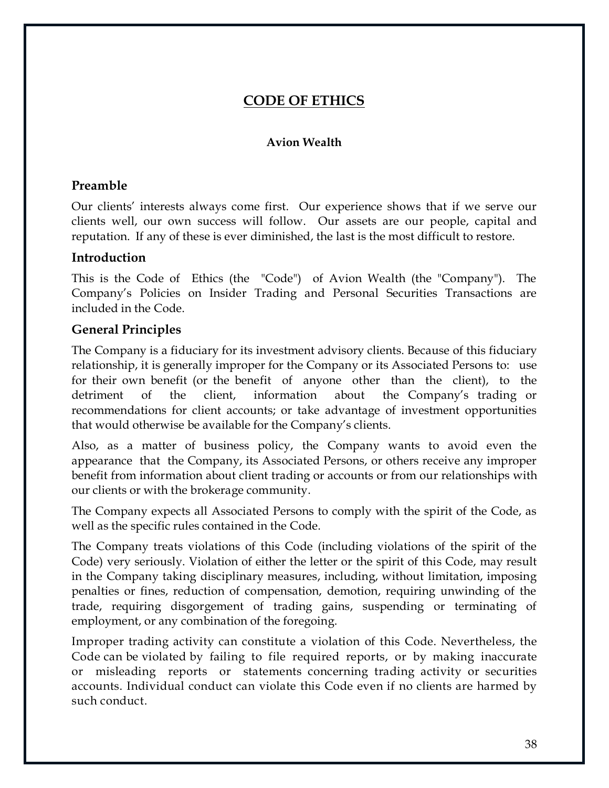# **CODE OF ETHICS**

#### **Avion Wealth**

#### <span id="page-43-0"></span>**Preamble**

Our clients' interests always come first. Our experience shows that if we serve our clients well, our own success will follow. Our assets are our people, capital and reputation. If any of these is ever diminished, the last is the most difficult to restore.

#### **Introduction**

This is the Code of Ethics (the "Code") of Avion Wealth (the "Company"). The Company's Policies on Insider Trading and Personal Securities Transactions are included in the Code.

#### **General Principles**

The Company is a fiduciary for its investment advisory clients. Because of this fiduciary relationship, it is generally improper for the Company or its Associated Persons to: use for their own benefit (or the benefit of anyone other than the client), to the detriment of the client, information about the Company's trading or recommendations for client accounts; or take advantage of investment opportunities that would otherwise be available for the Company's clients.

Also, as a matter of business policy, the Company wants to avoid even the appearance that the Company, its Associated Persons, or others receive any improper benefit from information about client trading or accounts or from our relationships with our clients or with the brokerage community.

The Company expects all Associated Persons to comply with the spirit of the Code, as well as the specific rules contained in the Code.

The Company treats violations of this Code (including violations of the spirit of the Code) very seriously. Violation of either the letter or the spirit of this Code, may result in the Company taking disciplinary measures, including, without limitation, imposing penalties or fines, reduction of compensation, demotion, requiring unwinding of the trade, requiring disgorgement of trading gains, suspending or terminating of employment, or any combination of the foregoing.

Improper trading activity can constitute a violation of this Code. Nevertheless, the Code can be violated by failing to file required reports, or by making inaccurate or misleading reports or statements concerning trading activity or securities accounts. Individual conduct can violate this Code even if no clients are harmed by such conduct.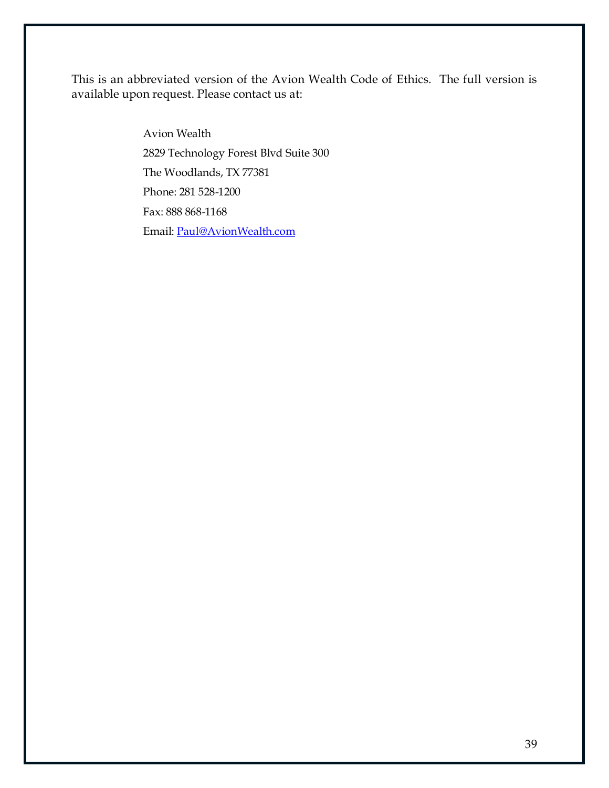This is an abbreviated version of the Avion Wealth Code of Ethics. The full version is available upon request. Please contact us at:

> Avion Wealth 2829 Technology Forest Blvd Suite 300 The Woodlands, TX 77381 Phone: 281 528-1200 Fax: 888 868-1168 Email: [Paul@AvionWealth.com](mailto:Paul@AvionWealth.com)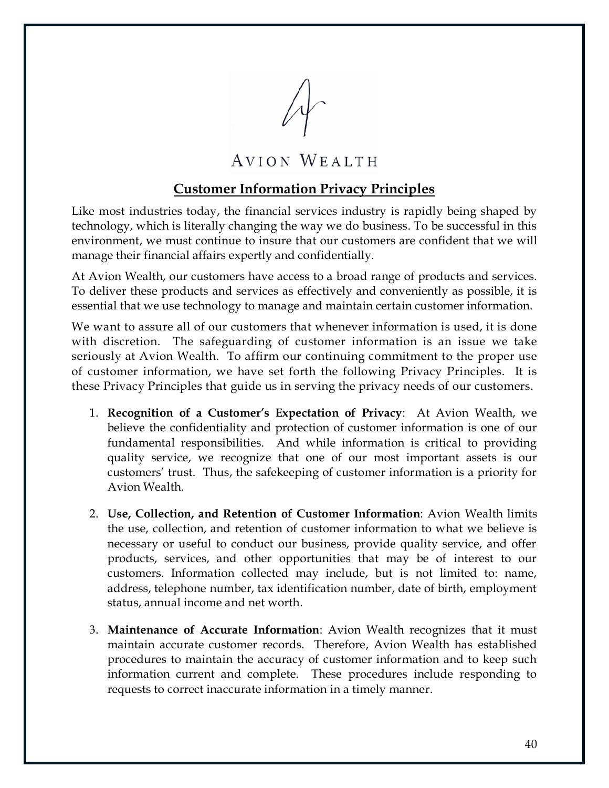

### **Customer Information Privacy Principles**

<span id="page-45-0"></span>Like most industries today, the financial services industry is rapidly being shaped by technology, which is literally changing the way we do business. To be successful in this environment, we must continue to insure that our customers are confident that we will manage their financial affairs expertly and confidentially.

At Avion Wealth, our customers have access to a broad range of products and services. To deliver these products and services as effectively and conveniently as possible, it is essential that we use technology to manage and maintain certain customer information.

We want to assure all of our customers that whenever information is used, it is done with discretion. The safeguarding of customer information is an issue we take seriously at Avion Wealth. To affirm our continuing commitment to the proper use of customer information, we have set forth the following Privacy Principles. It is these Privacy Principles that guide us in serving the privacy needs of our customers.

- 1. **Recognition of a Customer's Expectation of Privacy**: At Avion Wealth, we believe the confidentiality and protection of customer information is one of our fundamental responsibilities. And while information is critical to providing quality service, we recognize that one of our most important assets is our customers' trust. Thus, the safekeeping of customer information is a priority for Avion Wealth.
- 2. **Use, Collection, and Retention of Customer Information**: Avion Wealth limits the use, collection, and retention of customer information to what we believe is necessary or useful to conduct our business, provide quality service, and offer products, services, and other opportunities that may be of interest to our customers. Information collected may include, but is not limited to: name, address, telephone number, tax identification number, date of birth, employment status, annual income and net worth.
- 3. **Maintenance of Accurate Information**: Avion Wealth recognizes that it must maintain accurate customer records. Therefore, Avion Wealth has established procedures to maintain the accuracy of customer information and to keep such information current and complete. These procedures include responding to requests to correct inaccurate information in a timely manner.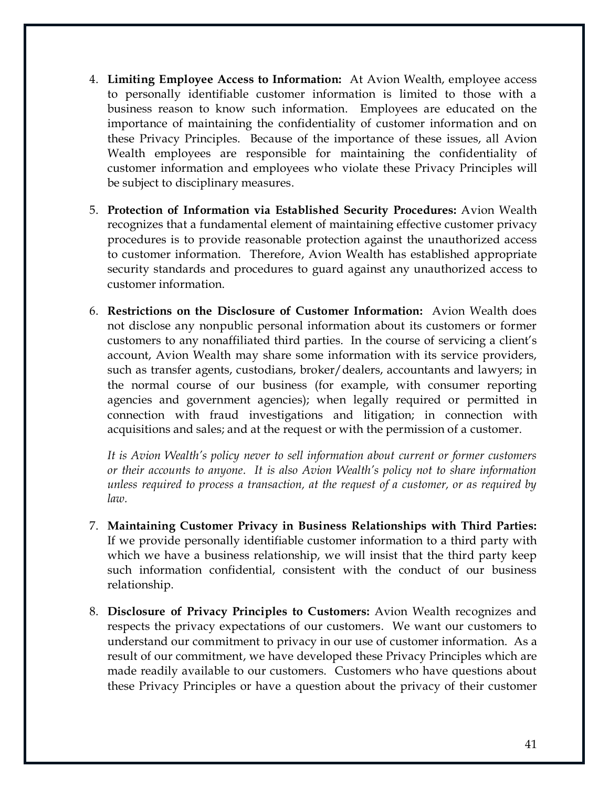- 4. **Limiting Employee Access to Information:** At Avion Wealth, employee access to personally identifiable customer information is limited to those with a business reason to know such information. Employees are educated on the importance of maintaining the confidentiality of customer information and on these Privacy Principles. Because of the importance of these issues, all Avion Wealth employees are responsible for maintaining the confidentiality of customer information and employees who violate these Privacy Principles will be subject to disciplinary measures.
- 5. **Protection of Information via Established Security Procedures:** Avion Wealth recognizes that a fundamental element of maintaining effective customer privacy procedures is to provide reasonable protection against the unauthorized access to customer information. Therefore, Avion Wealth has established appropriate security standards and procedures to guard against any unauthorized access to customer information.
- 6. **Restrictions on the Disclosure of Customer Information:** Avion Wealth does not disclose any nonpublic personal information about its customers or former customers to any nonaffiliated third parties. In the course of servicing a client's account, Avion Wealth may share some information with its service providers, such as transfer agents, custodians, broker/dealers, accountants and lawyers; in the normal course of our business (for example, with consumer reporting agencies and government agencies); when legally required or permitted in connection with fraud investigations and litigation; in connection with acquisitions and sales; and at the request or with the permission of a customer.

*It is Avion Wealth's policy never to sell information about current or former customers or their accounts to anyone. It is also Avion Wealth's policy not to share information unless required to process a transaction, at the request of a customer, or as required by law.* 

- 7. **Maintaining Customer Privacy in Business Relationships with Third Parties:**  If we provide personally identifiable customer information to a third party with which we have a business relationship, we will insist that the third party keep such information confidential, consistent with the conduct of our business relationship.
- 8. **Disclosure of Privacy Principles to Customers:** Avion Wealth recognizes and respects the privacy expectations of our customers. We want our customers to understand our commitment to privacy in our use of customer information. As a result of our commitment, we have developed these Privacy Principles which are made readily available to our customers. Customers who have questions about these Privacy Principles or have a question about the privacy of their customer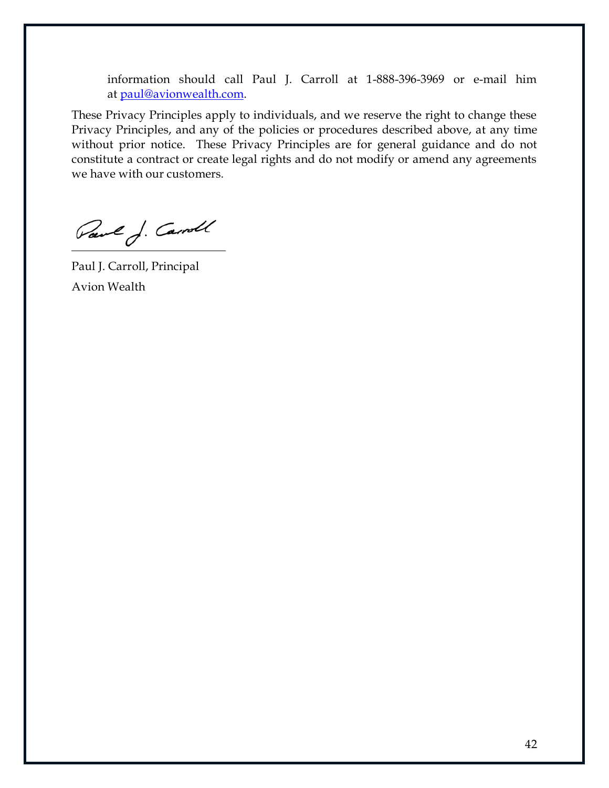information should call Paul J. Carroll at 1-888-396-3969 or e-mail him at [paul@avionwealth.com.](mailto:paul@avionwealth.com)

These Privacy Principles apply to individuals, and we reserve the right to change these Privacy Principles, and any of the policies or procedures described above, at any time without prior notice. These Privacy Principles are for general guidance and do not constitute a contract or create legal rights and do not modify or amend any agreements we have with our customers.

Paul J. Carroll

Paul J. Carroll, Principal Avion Wealth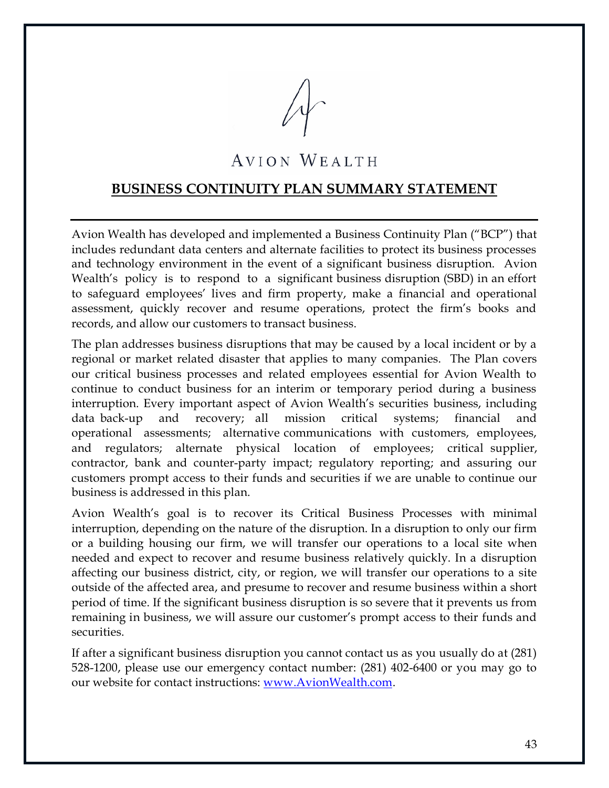

#### <span id="page-48-0"></span>**BUSINESS CONTINUITY PLAN SUMMARY STATEMENT**

Avion Wealth has developed and implemented a Business Continuity Plan ("BCP") that includes redundant data centers and alternate facilities to protect its business processes and technology environment in the event of a significant business disruption. Avion Wealth's policy is to respond to a significant business disruption (SBD) in an effort to safeguard employees' lives and firm property, make a financial and operational assessment, quickly recover and resume operations, protect the firm's books and records, and allow our customers to transact business.

The plan addresses business disruptions that may be caused by a local incident or by a regional or market related disaster that applies to many companies. The Plan covers our critical business processes and related employees essential for Avion Wealth to continue to conduct business for an interim or temporary period during a business interruption. Every important aspect of Avion Wealth's securities business, including data back-up and recovery; all mission critical systems; financial and operational assessments; alternative communications with customers, employees, and regulators; alternate physical location of employees; critical supplier, contractor, bank and counter-party impact; regulatory reporting; and assuring our customers prompt access to their funds and securities if we are unable to continue our business is addressed in this plan.

Avion Wealth's goal is to recover its Critical Business Processes with minimal interruption, depending on the nature of the disruption. In a disruption to only our firm or a building housing our firm, we will transfer our operations to a local site when needed and expect to recover and resume business relatively quickly. In a disruption affecting our business district, city, or region, we will transfer our operations to a site outside of the affected area, and presume to recover and resume business within a short period of time. If the significant business disruption is so severe that it prevents us from remaining in business, we will assure our customer's prompt access to their funds and securities.

If after a significant business disruption you cannot contact us as you usually do at (281) 528-1200, please use our emergency contact number: (281) 402-6400 or you may go to our website for contact instructions: [www.AvionWealth.com.](http://www.avionwealth.com/)